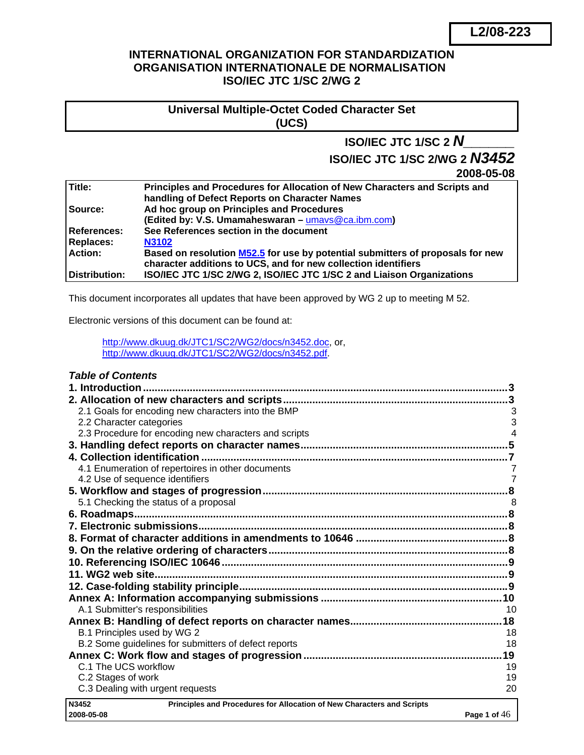## **INTERNATIONAL ORGANIZATION FOR STANDARDIZATION ORGANISATION INTERNATIONALE DE NORMALISATION ISO/IEC JTC 1/SC 2/WG 2**

## **Universal Multiple-Octet Coded Character Set (UCS)**

# **ISO/IEC JTC 1/SC 2** *N\_\_\_\_\_\_*

# **ISO/IEC JTC 1/SC 2/WG 2** *N3452*

**2008-05-08**

| Title:             | Principles and Procedures for Allocation of New Characters and Scripts and     |
|--------------------|--------------------------------------------------------------------------------|
|                    | handling of Defect Reports on Character Names                                  |
| Source:            | Ad hoc group on Principles and Procedures                                      |
|                    | (Edited by: V.S. Umamaheswaran - umays@ca.ibm.com)                             |
| <b>References:</b> | See References section in the document                                         |
| <b>Replaces:</b>   | <b>N3102</b>                                                                   |
| <b>Action:</b>     | Based on resolution M52.5 for use by potential submitters of proposals for new |
|                    | character additions to UCS, and for new collection identifiers                 |
| Distribution:      | ISO/IEC JTC 1/SC 2/WG 2, ISO/IEC JTC 1/SC 2 and Liaison Organizations          |

This document incorporates all updates that have been approved by WG 2 up to meeting M 52.

Electronic versions of this document can be found at:

<http://www.dkuug.dk/JTC1/SC2/WG2/docs/n3452.doc>, or, <http://www.dkuug.dk/JTC1/SC2/WG2/docs/n3452.pdf>.

| <b>Table of Contents</b>                                                        |                |
|---------------------------------------------------------------------------------|----------------|
|                                                                                 |                |
|                                                                                 |                |
| 2.1 Goals for encoding new characters into the BMP                              | 3              |
| 2.2 Character categories                                                        | 3              |
| 2.3 Procedure for encoding new characters and scripts                           | 4              |
|                                                                                 |                |
|                                                                                 |                |
| 4.1 Enumeration of repertoires in other documents                               | $\overline{7}$ |
| 4.2 Use of sequence identifiers                                                 | $\overline{7}$ |
|                                                                                 |                |
| 5.1 Checking the status of a proposal                                           |                |
| 6. Roadmaps                                                                     |                |
|                                                                                 |                |
|                                                                                 |                |
|                                                                                 |                |
|                                                                                 |                |
|                                                                                 |                |
|                                                                                 |                |
|                                                                                 |                |
| A.1 Submitter's responsibilities                                                | 10             |
|                                                                                 |                |
| B.1 Principles used by WG 2                                                     | 18             |
| B.2 Some guidelines for submitters of defect reports                            | 18             |
|                                                                                 | 19             |
| C.1 The UCS workflow                                                            | 19             |
| C.2 Stages of work                                                              | 19             |
| C.3 Dealing with urgent requests                                                | 20             |
| N3452<br>Principles and Procedures for Allocation of New Characters and Scripts |                |
| 2008-05-08                                                                      | Page 1 of $46$ |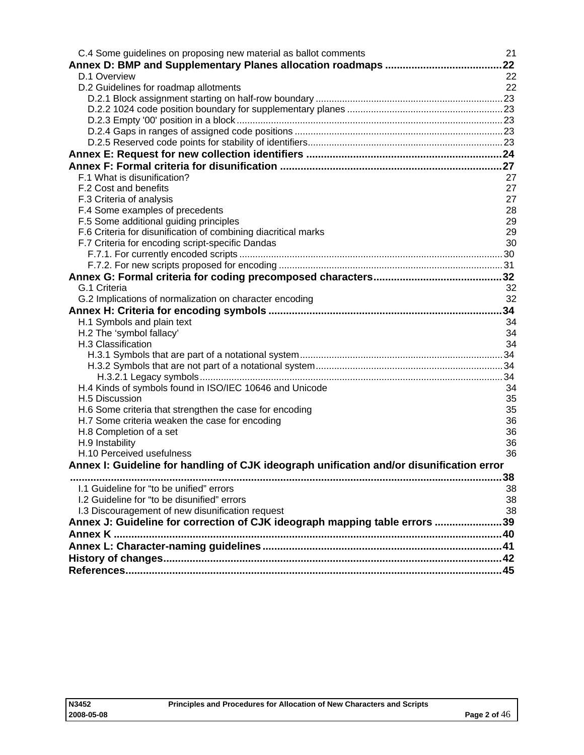| C.4 Some guidelines on proposing new material as ballot comments                         | 21       |
|------------------------------------------------------------------------------------------|----------|
|                                                                                          | 22       |
| D.1 Overview                                                                             | 22       |
| D.2 Guidelines for roadmap allotments                                                    | 22       |
|                                                                                          |          |
|                                                                                          |          |
|                                                                                          |          |
|                                                                                          |          |
|                                                                                          |          |
|                                                                                          |          |
|                                                                                          |          |
| F.1 What is disunification?                                                              | 27       |
| F.2 Cost and benefits                                                                    | 27       |
| F.3 Criteria of analysis                                                                 | 27       |
| F.4 Some examples of precedents                                                          | 28       |
| F.5 Some additional guiding principles                                                   | 29<br>29 |
| F.6 Criteria for disunification of combining diacritical marks                           | 30       |
| F.7 Criteria for encoding script-specific Dandas                                         |          |
|                                                                                          |          |
|                                                                                          |          |
| G.1 Criteria                                                                             | 32       |
| G.2 Implications of normalization on character encoding                                  | 32       |
|                                                                                          | 34       |
|                                                                                          |          |
| H.1 Symbols and plain text                                                               | 34<br>34 |
| H.2 The 'symbol fallacy'<br>H.3 Classification                                           | 34       |
|                                                                                          |          |
|                                                                                          |          |
|                                                                                          |          |
| H.4 Kinds of symbols found in ISO/IEC 10646 and Unicode                                  | 34       |
| H.5 Discussion                                                                           | 35       |
| H.6 Some criteria that strengthen the case for encoding                                  | 35       |
| H.7 Some criteria weaken the case for encoding                                           | 36       |
| H.8 Completion of a set                                                                  | 36       |
| H.9 Instability                                                                          | 36       |
| H.10 Perceived usefulness                                                                | 36       |
| Annex I: Guideline for handling of CJK ideograph unification and/or disunification error |          |
|                                                                                          | .38      |
| 1.1 Guideline for "to be unified" errors                                                 | 38       |
| 1.2 Guideline for "to be disunified" errors                                              | 38       |
| I.3 Discouragement of new disunification request                                         | 38       |
| Annex J: Guideline for correction of CJK ideograph mapping table errors 39               |          |
|                                                                                          |          |
|                                                                                          |          |
|                                                                                          |          |
|                                                                                          |          |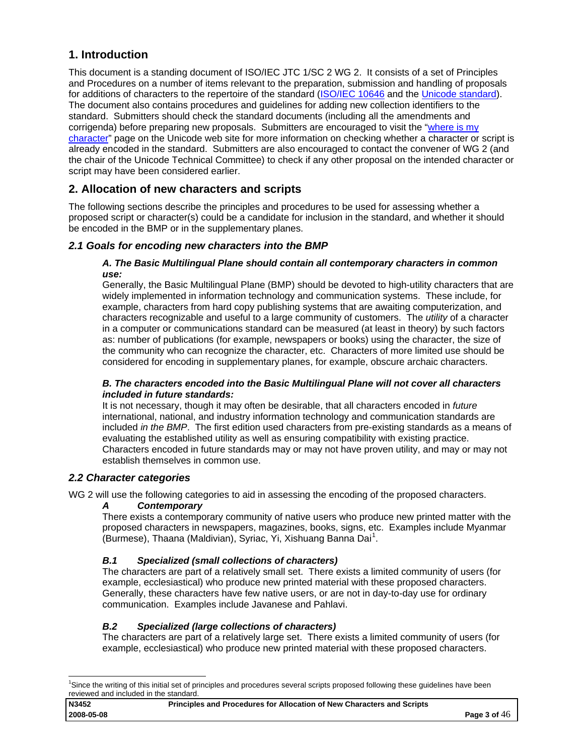## <span id="page-2-0"></span>**1. Introduction**

This document is a standing document of ISO/IEC JTC 1/SC 2 WG 2. It consists of a set of Principles and Procedures on a number of items relevant to the preparation, submission and handling of proposals for additions of characters to the repertoire of the standard ([ISO/IEC 10646](http://standards.iso.org/ittf/PubliclyAvailableStandards/c039921_ISO_IEC_10646_2003(E).zip) and the [Unicode standard\)](http://www.unicode.org/standard/standard.html). The document also contains procedures and guidelines for adding new collection identifiers to the standard. Submitters should check the standard documents (including all the amendments and corrigenda) before preparing new proposals. Submitters are encouraged to visit the "[where is my](http://www.unicode.org/standard/where/)  [character"](http://www.unicode.org/standard/where/) page on the Unicode web site for more information on checking whether a character or script is already encoded in the standard. Submitters are also encouraged to contact the convener of WG 2 (and the chair of the Unicode Technical Committee) to check if any other proposal on the intended character or script may have been considered earlier.

## **2. Allocation of new characters and scripts**

The following sections describe the principles and procedures to be used for assessing whether a proposed script or character(s) could be a candidate for inclusion in the standard, and whether it should be encoded in the BMP or in the supplementary planes.

## *2.1 Goals for encoding new characters into the BMP*

#### *A. The Basic Multilingual Plane should contain all contemporary characters in common use:*

Generally, the Basic Multilingual Plane (BMP) should be devoted to high-utility characters that are widely implemented in information technology and communication systems. These include, for example, characters from hard copy publishing systems that are awaiting computerization, and characters recognizable and useful to a large community of customers. The *utility* of a character in a computer or communications standard can be measured (at least in theory) by such factors as: number of publications (for example, newspapers or books) using the character, the size of the community who can recognize the character, etc. Characters of more limited use should be considered for encoding in supplementary planes, for example, obscure archaic characters.

#### *B. The characters encoded into the Basic Multilingual Plane will not cover all characters included in future standards:*

It is not necessary, though it may often be desirable, that all characters encoded in *future* international, national, and industry information technology and communication standards are included *in the BMP*. The first edition used characters from pre-existing standards as a means of evaluating the established utility as well as ensuring compatibility with existing practice. Characters encoded in future standards may or may not have proven utility, and may or may not establish themselves in common use.

## *2.2 Character categories*

1

WG 2 will use the following categories to aid in assessing the encoding of the proposed characters.

## *A Contemporary*

There exists a contemporary community of native users who produce new printed matter with the proposed characters in newspapers, magazines, books, signs, etc. Examples include Myanmar .<br>(Burmese), Thaana (Maldivian), Syriac, Yi, Xishuang Banna Dai<sup>[1](#page-2-1)</sup>.

## *B.1 Specialized (small collections of characters)*

The characters are part of a relatively small set. There exists a limited community of users (for example, ecclesiastical) who produce new printed material with these proposed characters. Generally, these characters have few native users, or are not in day-to-day use for ordinary communication. Examples include Javanese and Pahlavi.

## *B.2 Specialized (large collections of characters)*

The characters are part of a relatively large set. There exists a limited community of users (for example, ecclesiastical) who produce new printed material with these proposed characters.

<span id="page-2-1"></span><sup>&</sup>lt;sup>1</sup>Since the writing of this initial set of principles and procedures several scripts proposed following these guidelines have been reviewed and included in the standard.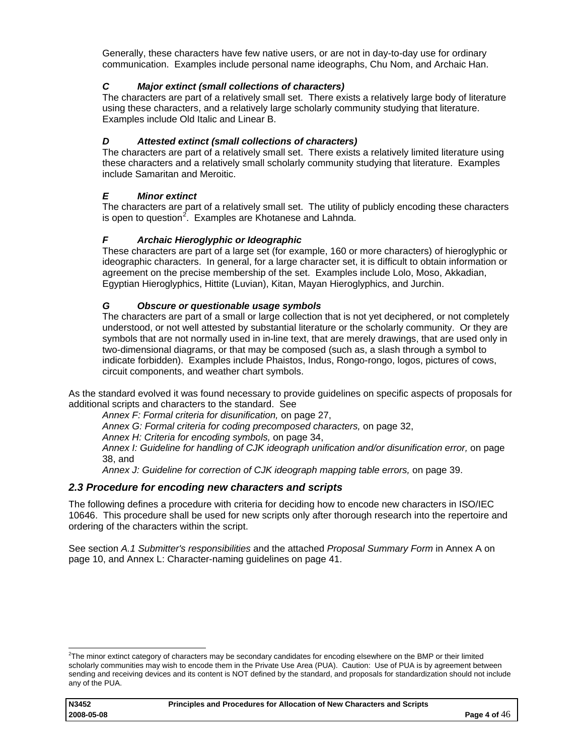<span id="page-3-0"></span>Generally, these characters have few native users, or are not in day-to-day use for ordinary communication. Examples include personal name ideographs, Chu Nom, and Archaic Han.

## *C Major extinct (small collections of characters)*

The characters are part of a relatively small set. There exists a relatively large body of literature using these characters, and a relatively large scholarly community studying that literature. Examples include Old Italic and Linear B.

## *D Attested extinct (small collections of characters)*

The characters are part of a relatively small set. There exists a relatively limited literature using these characters and a relatively small scholarly community studying that literature. Examples include Samaritan and Meroitic.

## *E Minor extinct*

The characters are part of a relatively small set. The utility of publicly encoding these characters is open to question<sup>[2](#page-3-1)</sup>. Examples are Khotanese and Lahnda.

## *F Archaic Hieroglyphic or Ideographic*

These characters are part of a large set (for example, 160 or more characters) of hieroglyphic or ideographic characters. In general, for a large character set, it is difficult to obtain information or agreement on the precise membership of the set. Examples include Lolo, Moso, Akkadian, Egyptian Hieroglyphics, Hittite (Luvian), Kitan, Mayan Hieroglyphics, and Jurchin.

## *G Obscure or questionable usage symbols*

The characters are part of a small or large collection that is not yet deciphered, or not completely understood, or not well attested by substantial literature or the scholarly community. Or they are symbols that are not normally used in in-line text, that are merely drawings, that are used only in two-dimensional diagrams, or that may be composed (such as, a slash through a symbol to indicate forbidden). Examples include Phaistos, Indus, Rongo-rongo, logos, pictures of cows, circuit components, and weather chart symbols.

As the standard evolved it was found necessary to provide guidelines on specific aspects of proposals for additional scripts and characters to the standard. See

*[Annex F: Formal criteria for disunification](#page-26-0),* on page [27,](#page-26-0)

*[Annex G: Formal criteria for coding precomposed characters](#page-31-0),* on page [32,](#page-31-0)

[Annex H: Criteria for encoding symbols,](#page-33-0) on page [34](#page-33-0),

*[Annex I: Guideline for handling of CJK ideograph unification and/or disunification error,](#page-37-0)* on page [38,](#page-37-0) and

*[Annex J: Guideline for correction of CJK ideograph mapping table errors,](#page-38-0)* on page [39.](#page-38-0)

## *2.3 Procedure for encoding new characters and scripts*

The following defines a procedure with criteria for deciding how to encode new characters in ISO/IEC 10646. This procedure shall be used for new scripts only after thorough research into the repertoire and ordering of the characters within the script.

See section *[A.1 Submitter's responsibilities](#page-9-0)* and the attached *Proposal Summary Form* in Annex A on page [10](#page-9-0), and [Annex L: Character-naming guidelines](#page-40-0) on page [41](#page-40-0).

<span id="page-3-1"></span> 2 The minor extinct category of characters may be secondary candidates for encoding elsewhere on the BMP or their limited scholarly communities may wish to encode them in the Private Use Area (PUA). Caution: Use of PUA is by agreement between sending and receiving devices and its content is NOT defined by the standard, and proposals for standardization should not include any of the PUA.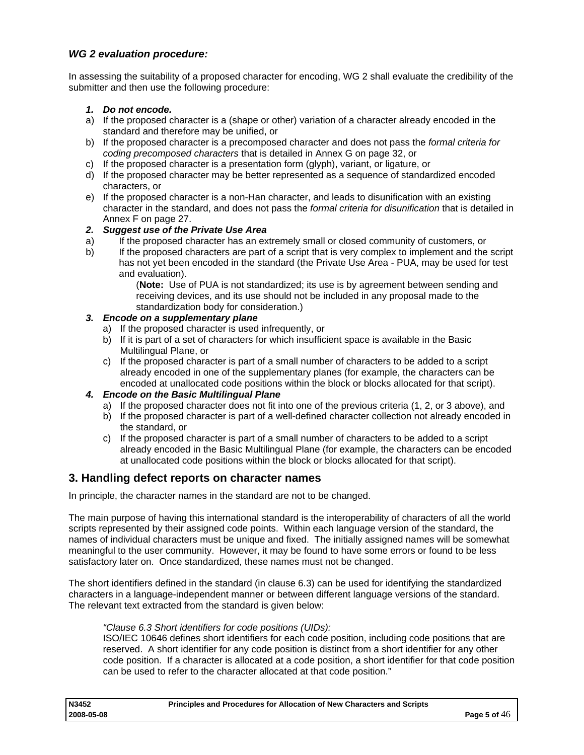## <span id="page-4-0"></span>*WG 2 evaluation procedure:*

In assessing the suitability of a proposed character for encoding, WG 2 shall evaluate the credibility of the submitter and then use the following procedure:

## *1. Do not encode.*

- a) If the proposed character is a (shape or other) variation of a character already encoded in the standard and therefore may be unified, or
- b) If the proposed character is a precomposed character and does not pass the *formal criteria for coding precomposed characters* that is detailed in Annex G on page [32,](#page-31-0) or
- c) If the proposed character is a presentation form (glyph), variant, or ligature, or
- d) If the proposed character may be better represented as a sequence of standardized encoded characters, or
- e) If the proposed character is a non-Han character, and leads to disunification with an existing character in the standard, and does not pass the *formal criteria for disunification* that is detailed in Annex F on page [27](#page-26-0).

#### *2. Suggest use of the Private Use Area*

- a) If the proposed character has an extremely small or closed community of customers, or
- b) If the proposed characters are part of a script that is very complex to implement and the script has not yet been encoded in the standard (the Private Use Area - PUA, may be used for test and evaluation).

(**Note:** Use of PUA is not standardized; its use is by agreement between sending and receiving devices, and its use should not be included in any proposal made to the standardization body for consideration.)

#### *3. Encode on a supplementary plane*

- a) If the proposed character is used infrequently, or
- b) If it is part of a set of characters for which insufficient space is available in the Basic Multilingual Plane, or
- c) If the proposed character is part of a small number of characters to be added to a script already encoded in one of the supplementary planes (for example, the characters can be encoded at unallocated code positions within the block or blocks allocated for that script).

#### *4. Encode on the Basic Multilingual Plane*

- a) If the proposed character does not fit into one of the previous criteria (1, 2, or 3 above), and
- b) If the proposed character is part of a well-defined character collection not already encoded in the standard, or
- c) If the proposed character is part of a small number of characters to be added to a script already encoded in the Basic Multilingual Plane (for example, the characters can be encoded at unallocated code positions within the block or blocks allocated for that script).

## **3. Handling defect reports on character names**

In principle, the character names in the standard are not to be changed.

The main purpose of having this international standard is the interoperability of characters of all the world scripts represented by their assigned code points. Within each language version of the standard, the names of individual characters must be unique and fixed. The initially assigned names will be somewhat meaningful to the user community. However, it may be found to have some errors or found to be less satisfactory later on. Once standardized, these names must not be changed.

The short identifiers defined in the standard (in clause 6.3) can be used for identifying the standardized characters in a language-independent manner or between different language versions of the standard. The relevant text extracted from the standard is given below:

## *"Clause 6.3 Short identifiers for code positions (UIDs):*

ISO/IEC 10646 defines short identifiers for each code position, including code positions that are reserved. A short identifier for any code position is distinct from a short identifier for any other code position. If a character is allocated at a code position, a short identifier for that code position can be used to refer to the character allocated at that code position."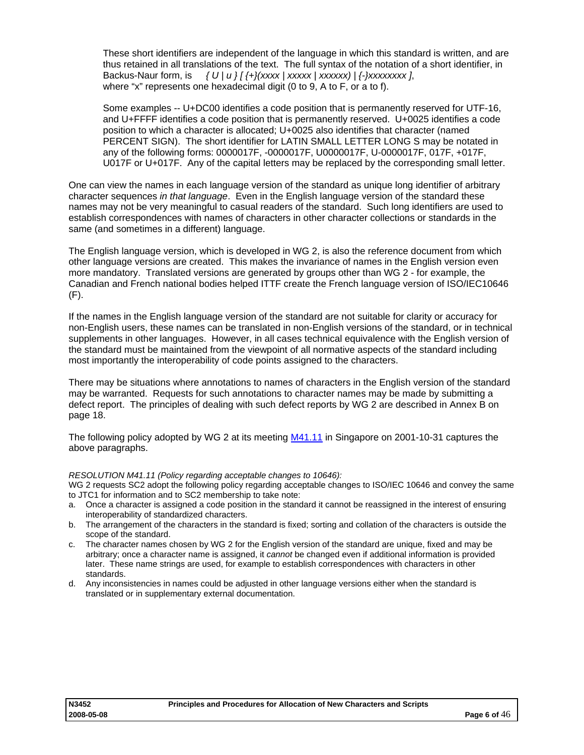These short identifiers are independent of the language in which this standard is written, and are thus retained in all translations of the text. The full syntax of the notation of a short identifier, in Backus-Naur form, is  $\{U | u\}$   $\{+}\$   $\{xxxxx \mid xxxxxx\}$   $\{+}\$   $\{xxxxxx\}$ , where "x" represents one hexadecimal digit (0 to 9, A to F, or a to f).

Some examples -- U+DC00 identifies a code position that is permanently reserved for UTF-16, and U+FFFF identifies a code position that is permanently reserved. U+0025 identifies a code position to which a character is allocated; U+0025 also identifies that character (named PERCENT SIGN). The short identifier for LATIN SMALL LETTER LONG S may be notated in any of the following forms: 0000017F, -0000017F, U0000017F, U-0000017F, 017F, +017F, U017F or U+017F. Any of the capital letters may be replaced by the corresponding small letter.

One can view the names in each language version of the standard as unique long identifier of arbitrary character sequences *in that language*. Even in the English language version of the standard these names may not be very meaningful to casual readers of the standard. Such long identifiers are used to establish correspondences with names of characters in other character collections or standards in the same (and sometimes in a different) language.

The English language version, which is developed in WG 2, is also the reference document from which other language versions are created. This makes the invariance of names in the English version even more mandatory. Translated versions are generated by groups other than WG 2 - for example, the Canadian and French national bodies helped ITTF create the French language version of ISO/IEC10646 (F).

If the names in the English language version of the standard are not suitable for clarity or accuracy for non-English users, these names can be translated in non-English versions of the standard, or in technical supplements in other languages. However, in all cases technical equivalence with the English version of the standard must be maintained from the viewpoint of all normative aspects of the standard including most importantly the interoperability of code points assigned to the characters.

There may be situations where annotations to names of characters in the English version of the standard may be warranted. Requests for such annotations to character names may be made by submitting a defect report. The principles of dealing with such defect reports by WG 2 are described in Annex B on page [18](#page-17-0).

The following policy adopted by WG 2 at its meeting [M41.11](http://std.dkuug.dk/JTC1/SC2/WG2/docs/N2404R.doc) in Singapore on 2001-10-31 captures the above paragraphs.

#### *RESOLUTION M41.11 (Policy regarding acceptable changes to 10646):*

WG 2 requests SC2 adopt the following policy regarding acceptable changes to ISO/IEC 10646 and convey the same to JTC1 for information and to SC2 membership to take note:

- a. Once a character is assigned a code position in the standard it cannot be reassigned in the interest of ensuring interoperability of standardized characters.
- b. The arrangement of the characters in the standard is fixed; sorting and collation of the characters is outside the scope of the standard.
- c. The character names chosen by WG 2 for the English version of the standard are unique, fixed and may be arbitrary; once a character name is assigned, it *cannot* be changed even if additional information is provided later. These name strings are used, for example to establish correspondences with characters in other standards.
- d. Any inconsistencies in names could be adjusted in other language versions either when the standard is translated or in supplementary external documentation.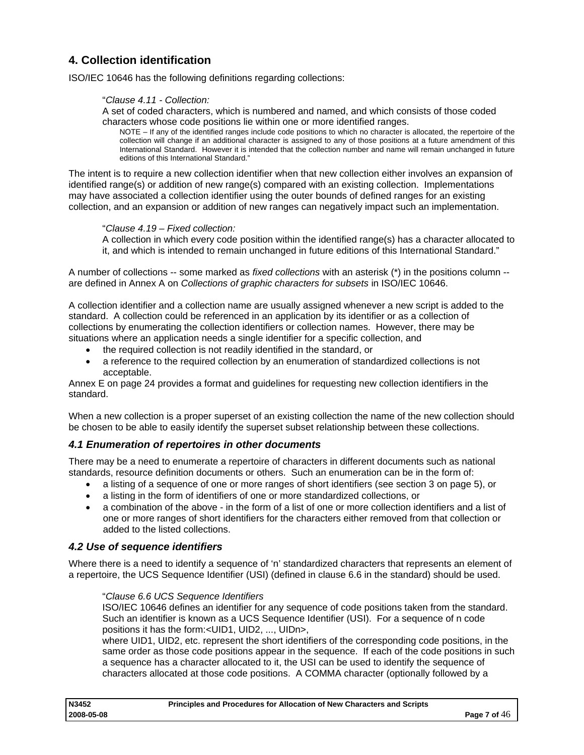## <span id="page-6-0"></span>**4. Collection identification**

ISO/IEC 10646 has the following definitions regarding collections:

#### "*Clause 4.11 - Collection:*

A set of coded characters, which is numbered and named, and which consists of those coded characters whose code positions lie within one or more identified ranges.

NOTE – If any of the identified ranges include code positions to which no character is allocated, the repertoire of the collection will change if an additional character is assigned to any of those positions at a future amendment of this International Standard. However it is intended that the collection number and name will remain unchanged in future editions of this International Standard."

The intent is to require a new collection identifier when that new collection either involves an expansion of identified range(s) or addition of new range(s) compared with an existing collection. Implementations may have associated a collection identifier using the outer bounds of defined ranges for an existing collection, and an expansion or addition of new ranges can negatively impact such an implementation.

"*Clause 4.19 – Fixed collection:* 

A collection in which every code position within the identified range(s) has a character allocated to it, and which is intended to remain unchanged in future editions of this International Standard."

A number of collections -- some marked as *fixed collections* with an asterisk (\*) in the positions column - are defined in Annex A on *Collections of graphic characters for subsets* in ISO/IEC 10646.

A collection identifier and a collection name are usually assigned whenever a new script is added to the standard. A collection could be referenced in an application by its identifier or as a collection of collections by enumerating the collection identifiers or collection names. However, there may be situations where an application needs a single identifier for a specific collection, and

- the required collection is not readily identified in the standard, or
- a reference to the required collection by an enumeration of standardized collections is not acceptable.

Annex E on page [24](#page-23-0) provides a format and guidelines for requesting new collection identifiers in the standard.

When a new collection is a proper superset of an existing collection the name of the new collection should be chosen to be able to easily identify the superset subset relationship between these collections.

## *4.1 Enumeration of repertoires in other documents*

There may be a need to enumerate a repertoire of characters in different documents such as national standards, resource definition documents or others. Such an enumeration can be in the form of:

- a listing of a sequence of one or more ranges of short identifiers (see section 3 on page [5\)](#page-4-0), or
- a listing in the form of identifiers of one or more standardized collections, or
- a combination of the above in the form of a list of one or more collection identifiers and a list of one or more ranges of short identifiers for the characters either removed from that collection or added to the listed collections.

## *4.2 Use of sequence identifiers*

Where there is a need to identify a sequence of 'n' standardized characters that represents an element of a repertoire, the UCS Sequence Identifier (USI) (defined in clause 6.6 in the standard) should be used.

"*Clause 6.6 UCS Sequence Identifiers* 

ISO/IEC 10646 defines an identifier for any sequence of code positions taken from the standard. Such an identifier is known as a UCS Sequence Identifier (USI). For a sequence of n code positions it has the form:<UID1, UID2, ..., UIDn>,

where UID1, UID2, etc. represent the short identifiers of the corresponding code positions, in the same order as those code positions appear in the sequence. If each of the code positions in such a sequence has a character allocated to it, the USI can be used to identify the sequence of characters allocated at those code positions. A COMMA character (optionally followed by a

| N3452      | Principles and Procedures for Allocation of New Characters and Scripts |                |
|------------|------------------------------------------------------------------------|----------------|
| 2008-05-08 |                                                                        | Page 7 of $46$ |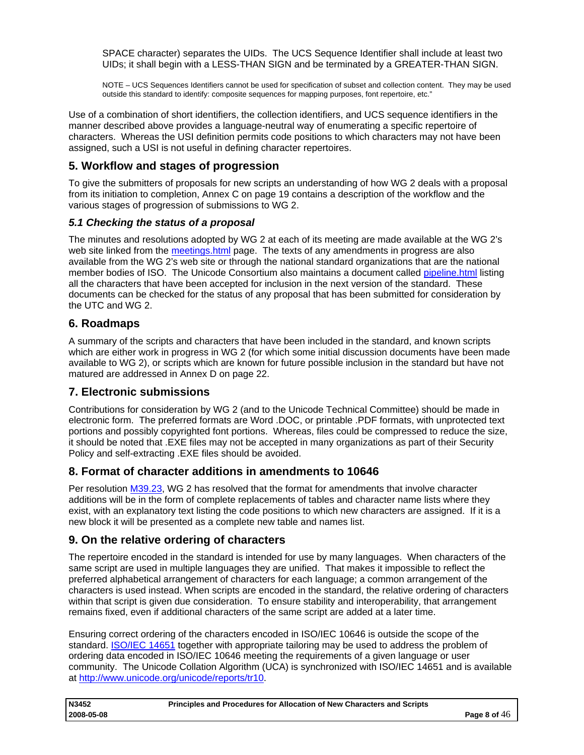<span id="page-7-0"></span>SPACE character) separates the UIDs. The UCS Sequence Identifier shall include at least two UIDs; it shall begin with a LESS-THAN SIGN and be terminated by a GREATER-THAN SIGN.

NOTE – UCS Sequences Identifiers cannot be used for specification of subset and collection content. They may be used outside this standard to identify: composite sequences for mapping purposes, font repertoire, etc."

Use of a combination of short identifiers, the collection identifiers, and UCS sequence identifiers in the manner described above provides a language-neutral way of enumerating a specific repertoire of characters. Whereas the USI definition permits code positions to which characters may not have been assigned, such a USI is not useful in defining character repertoires.

## **5. Workflow and stages of progression**

To give the submitters of proposals for new scripts an understanding of how WG 2 deals with a proposal from its initiation to completion, Annex C on page [19](#page-18-0) contains a description of the workflow and the various stages of progression of submissions to WG 2.

## *5.1 Checking the status of a proposal*

The minutes and resolutions adopted by WG 2 at each of its meeting are made available at the WG 2's web site linked from the [meetings.html](http://www.dkuug.dk/JTC1/SC2/WG2/docs/meetings.html) page. The texts of any amendments in progress are also available from the WG 2's web site or through the national standard organizations that are the national member bodies of ISO. The Unicode Consortium also maintains a document called [pipeline.html](http://www.unicode.org/alloc/Pipeline.html) listing all the characters that have been accepted for inclusion in the next version of the standard. These documents can be checked for the status of any proposal that has been submitted for consideration by the UTC and WG 2.

## **6. Roadmaps**

A summary of the scripts and characters that have been included in the standard, and known scripts which are either work in progress in WG 2 (for which some initial discussion documents have been made available to WG 2), or scripts which are known for future possible inclusion in the standard but have not matured are addressed in Annex D on page [22.](#page-21-0)

## **7. Electronic submissions**

Contributions for consideration by WG 2 (and to the Unicode Technical Committee) should be made in electronic form. The preferred formats are Word .DOC, or printable .PDF formats, with unprotected text portions and possibly copyrighted font portions. Whereas, files could be compressed to reduce the size, it should be noted that .EXE files may not be accepted in many organizations as part of their Security Policy and self-extracting .EXE files should be avoided.

## **8. Format of character additions in amendments to 10646**

Per resolution [M39.23,](http://www.dkuug.dk/JTC1/SC2/WG2/docs/N2254R.pdf) WG 2 has resolved that the format for amendments that involve character additions will be in the form of complete replacements of tables and character name lists where they exist, with an explanatory text listing the code positions to which new characters are assigned. If it is a new block it will be presented as a complete new table and names list.

## **9. On the relative ordering of characters**

The repertoire encoded in the standard is intended for use by many languages. When characters of the same script are used in multiple languages they are unified. That makes it impossible to reflect the preferred alphabetical arrangement of characters for each language; a common arrangement of the characters is used instead. When scripts are encoded in the standard, the relative ordering of characters within that script is given due consideration. To ensure stability and interoperability, that arrangement remains fixed, even if additional characters of the same script are added at a later time.

Ensuring correct ordering of the characters encoded in ISO/IEC 10646 is outside the scope of the standard. [ISO/IEC 14651](http://standards.iso.org/ittf/PubliclyAvailableStandards/c025066_ISO_IEC_14651_2001(E).zip) together with appropriate tailoring may be used to address the problem of ordering data encoded in ISO/IEC 10646 meeting the requirements of a given language or user community. The Unicode Collation Algorithm (UCA) is synchronized with ISO/IEC 14651 and is available at [http://www.unicode.org/unicode/reports/tr10.](http://www.unicode.org/unicode/reports/tr10)

| <b>N3452</b> | Principles and Procedures for Allocation of New Characters and Scripts |                |
|--------------|------------------------------------------------------------------------|----------------|
| 2008-05-08   |                                                                        | Page 8 of $46$ |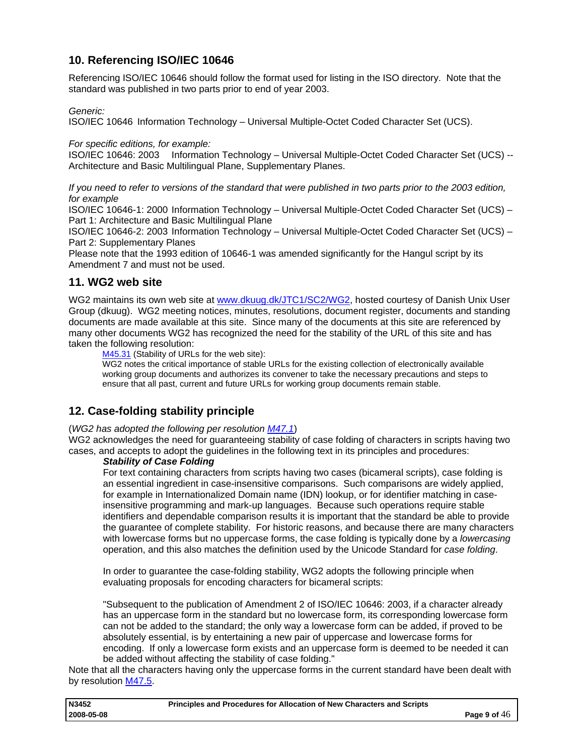## <span id="page-8-0"></span>**10. Referencing ISO/IEC 10646**

Referencing ISO/IEC 10646 should follow the format used for listing in the ISO directory. Note that the standard was published in two parts prior to end of year 2003.

#### *Generic:*

ISO/IEC 10646 Information Technology – Universal Multiple-Octet Coded Character Set (UCS).

#### *For specific editions, for example:*

ISO/IEC 10646: 2003 Information Technology – Universal Multiple-Octet Coded Character Set (UCS) -- Architecture and Basic Multilingual Plane, Supplementary Planes.

*If you need to refer to versions of the standard that were published in two parts prior to the 2003 edition, for example* 

ISO/IEC 10646-1: 2000 Information Technology – Universal Multiple-Octet Coded Character Set (UCS) – Part 1: Architecture and Basic Multilingual Plane

ISO/IEC 10646-2: 2003 Information Technology – Universal Multiple-Octet Coded Character Set (UCS) – Part 2: Supplementary Planes

Please note that the 1993 edition of 10646-1 was amended significantly for the Hangul script by its Amendment 7 and must not be used.

## **11. WG2 web site**

WG2 maintains its own web site at [www.dkuug.dk/JTC1/SC2/WG2](http://www.dkuug.dk/JTC1/SC2/WG2), hosted courtesy of Danish Unix User Group (dkuug). WG2 meeting notices, minutes, resolutions, document register, documents and standing documents are made available at this site. Since many of the documents at this site are referenced by many other documents WG2 has recognized the need for the stability of the URL of this site and has taken the following resolution:

[M45.31](http://www.dkuug.dk/JTC1/SC2/WG2/docs/n22753.pdf) (Stability of URLs for the web site):

WG2 notes the critical importance of stable URLs for the existing collection of electronically available working group documents and authorizes its convener to take the necessary precautions and steps to ensure that all past, current and future URLs for working group documents remain stable.

## **12. Case-folding stability principle**

#### (*WG2 has adopted the following per resolution [M47.1](http://std.dkuug.dk/jtc1/sc2/wg2/docs/N2954.doc)*)

WG2 acknowledges the need for guaranteeing stability of case folding of characters in scripts having two cases, and accepts to adopt the guidelines in the following text in its principles and procedures:

#### *Stability of Case Folding*

For text containing characters from scripts having two cases (bicameral scripts), case folding is an essential ingredient in case-insensitive comparisons. Such comparisons are widely applied, for example in Internationalized Domain name (IDN) lookup, or for identifier matching in caseinsensitive programming and mark-up languages. Because such operations require stable identifiers and dependable comparison results it is important that the standard be able to provide the guarantee of complete stability. For historic reasons, and because there are many characters with lowercase forms but no uppercase forms, the case folding is typically done by a *lowercasing* operation, and this also matches the definition used by the Unicode Standard for *case folding*.

In order to guarantee the case-folding stability, WG2 adopts the following principle when evaluating proposals for encoding characters for bicameral scripts:

"Subsequent to the publication of Amendment 2 of ISO/IEC 10646: 2003, if a character already has an uppercase form in the standard but no lowercase form, its corresponding lowercase form can not be added to the standard; the only way a lowercase form can be added, if proved to be absolutely essential, is by entertaining a new pair of uppercase and lowercase forms for encoding. If only a lowercase form exists and an uppercase form is deemed to be needed it can be added without affecting the stability of case folding."

Note that all the characters having only the uppercase forms in the current standard have been dealt with by resolution [M47.5](http://std.dkuug.dk/jtc1/sc2/wg2/docs/N2954.doc).

| N3452      | Principles and Procedures for Allocation of New Characters and Scripts |                |
|------------|------------------------------------------------------------------------|----------------|
| 2008-05-08 |                                                                        | Page 9 of $46$ |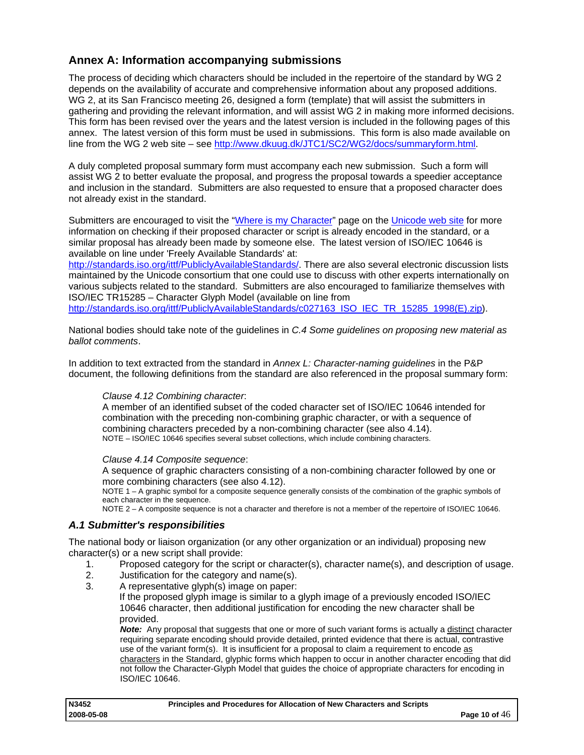## <span id="page-9-0"></span>**Annex A: Information accompanying submissions**

The process of deciding which characters should be included in the repertoire of the standard by WG 2 depends on the availability of accurate and comprehensive information about any proposed additions. WG 2, at its San Francisco meeting 26, designed a form (template) that will assist the submitters in gathering and providing the relevant information, and will assist WG 2 in making more informed decisions. This form has been revised over the years and the latest version is included in the following pages of this annex. The latest version of this form must be used in submissions. This form is also made available on line from the WG 2 web site – see [http://www.dkuug.dk/JTC1/SC2/WG2/docs/summaryform.html.](http://www.dkuug.dk/JTC1/SC2/WG2/docs/summaryform.html)

A duly completed proposal summary form must accompany each new submission. Such a form will assist WG 2 to better evaluate the proposal, and progress the proposal towards a speedier acceptance and inclusion in the standard. Submitters are also requested to ensure that a proposed character does not already exist in the standard.

Submitters are encouraged to visit the ["Where is my Character"](http://www.unicode.org/standard/where/) page on the [Unicode web site](http://www.unicode.org/) for more information on checking if their proposed character or script is already encoded in the standard, or a similar proposal has already been made by someone else. The latest version of ISO/IEC 10646 is available on line under 'Freely Available Standards' at:

<http://standards.iso.org/ittf/PubliclyAvailableStandards/>. There are also several electronic discussion lists maintained by the Unicode consortium that one could use to discuss with other experts internationally on various subjects related to the standard. Submitters are also encouraged to familiarize themselves with ISO/IEC TR15285 – Character Glyph Model (available on line from

[http://standards.iso.org/ittf/PubliclyAvailableStandards/c027163\\_ISO\\_IEC\\_TR\\_15285\\_1998\(E\).zip\)](http://standards.iso.org/ittf/PubliclyAvailableStandards/c027163_ISO_IEC_TR_15285_1998(E).zip).

National bodies should take note of the guidelines in *[C.4 Some guidelines on proposing new material as](#page-20-0)  [ballot comments](#page-20-0)*.

In addition to text extracted from the standard in *[Annex L: Character-naming guidelines](#page-40-0)* in the P&P document, the following definitions from the standard are also referenced in the proposal summary form:

## *Clause 4.12 Combining character*:

A member of an identified subset of the coded character set of ISO/IEC 10646 intended for combination with the preceding non-combining graphic character, or with a sequence of combining characters preceded by a non-combining character (see also 4.14). NOTE – ISO/IEC 10646 specifies several subset collections, which include combining characters.

#### *Clause 4.14 Composite sequence*:

A sequence of graphic characters consisting of a non-combining character followed by one or more combining characters (see also 4.12).

NOTE 1 – A graphic symbol for a composite sequence generally consists of the combination of the graphic symbols of each character in the sequence.

NOTE 2 – A composite sequence is not a character and therefore is not a member of the repertoire of ISO/IEC 10646.

## *A.1 Submitter's responsibilities*

The national body or liaison organization (or any other organization or an individual) proposing new character(s) or a new script shall provide:

- 1. Proposed category for the script or character(s), character name(s), and description of usage.
- 2. Justification for the category and name(s).
- 3. A representative glyph(s) image on paper:

If the proposed glyph image is similar to a glyph image of a previously encoded ISO/IEC 10646 character, then additional justification for encoding the new character shall be provided.

*Note:* Any proposal that suggests that one or more of such variant forms is actually a distinct character requiring separate encoding should provide detailed, printed evidence that there is actual, contrastive use of the variant form(s). It is insufficient for a proposal to claim a requirement to encode as characters in the Standard, glyphic forms which happen to occur in another character encoding that did not follow the Character-Glyph Model that guides the choice of appropriate characters for encoding in ISO/IEC 10646.

| N3452      | Principles and Procedures for Allocation of New Characters and Scripts |                 |
|------------|------------------------------------------------------------------------|-----------------|
| 2008-05-08 |                                                                        | Page 10 of $46$ |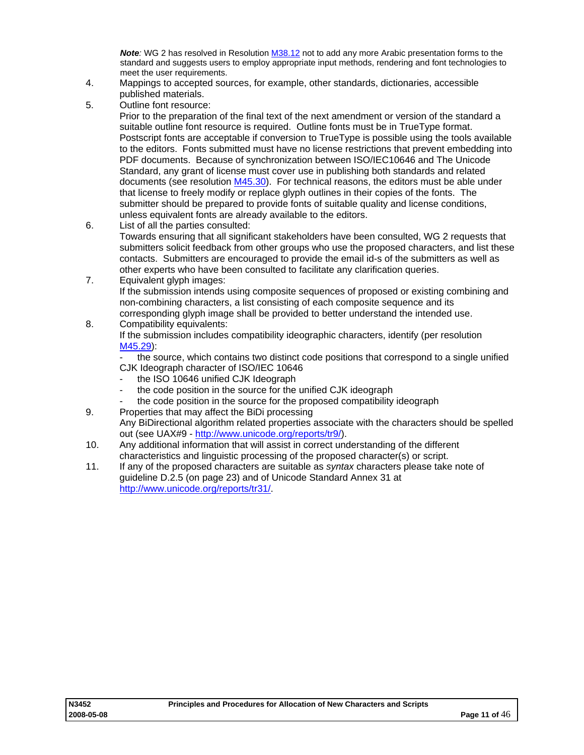*Note:* WG 2 has resolved in Resolution [M38.12](http://www.dkuug.dk/JTC1/SC2/WG2/docs/n2204r.doc) not to add any more Arabic presentation forms to the standard and suggests users to employ appropriate input methods, rendering and font technologies to meet the user requirements.

- <span id="page-10-0"></span>4. Mappings to accepted sources, for example, other standards, dictionaries, accessible published materials.
- 5. Outline font resource:

Prior to the preparation of the final text of the next amendment or version of the standard a suitable outline font resource is required. Outline fonts must be in TrueType format. Postscript fonts are acceptable if conversion to TrueType is possible using the tools available to the editors. Fonts submitted must have no license restrictions that prevent embedding into PDF documents. Because of synchronization between ISO/IEC10646 and The Unicode Standard, any grant of license must cover use in publishing both standards and related documents (see resolution [M45.30\)](http://www.dkuug.dk/JTC1/SC2/WG2/docs/n2754.pdf). For technical reasons, the editors must be able under that license to freely modify or replace glyph outlines in their copies of the fonts. The submitter should be prepared to provide fonts of suitable quality and license conditions, unless equivalent fonts are already available to the editors.

- 6. List of all the parties consulted: Towards ensuring that all significant stakeholders have been consulted, WG 2 requests that submitters solicit feedback from other groups who use the proposed characters, and list these contacts. Submitters are encouraged to provide the email id-s of the submitters as well as other experts who have been consulted to facilitate any clarification queries.
- 7. Equivalent glyph images: If the submission intends using composite sequences of proposed or existing combining and non-combining characters, a list consisting of each composite sequence and its corresponding glyph image shall be provided to better understand the intended use.
- 8. Compatibility equivalents: If the submission includes compatibility ideographic characters, identify (per resolution [M45.29\)](http://www.dkuug.dk/JTC1/SC2/WG2/docs/n2754.pdf):

the source, which contains two distinct code positions that correspond to a single unified CJK Ideograph character of ISO/IEC 10646

- the ISO 10646 unified CJK Ideograph
- the code position in the source for the unified CJK ideograph
- the code position in the source for the proposed compatibility ideograph
- 9. Properties that may affect the BiDi processing Any BiDirectional algorithm related properties associate with the characters should be spelled out (see UAX#9 - [http://www.unicode.org/reports/tr9/\)](http://www.unicode.org/reports/tr9/).
- 10. Any additional information that will assist in correct understanding of the different characteristics and linguistic processing of the proposed character(s) or script.
- 11. If any of the proposed characters are suitable as *syntax* characters please take note of guideline D.2.5 (on page [23](#page-22-0)) and of Unicode Standard Annex 31 at [http://www.unicode.org/reports/tr31/.](http://www.unicode.org/reports/tr31/)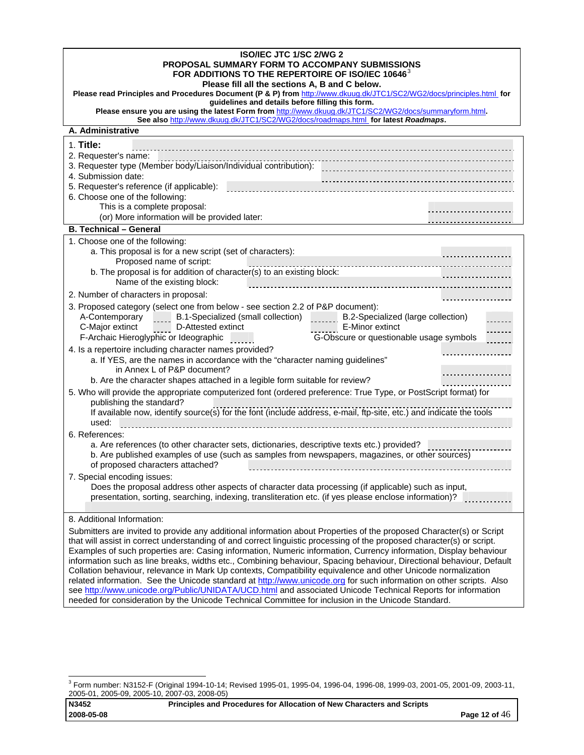| ISO/IEC JTC 1/SC 2/WG 2<br>PROPOSAL SUMMARY FORM TO ACCOMPANY SUBMISSIONS<br>FOR ADDITIONS TO THE REPERTOIRE OF ISO/IEC 10646 <sup>3</sup>                                                                                                        |
|---------------------------------------------------------------------------------------------------------------------------------------------------------------------------------------------------------------------------------------------------|
| Please fill all the sections A, B and C below.                                                                                                                                                                                                    |
| Please read Principles and Procedures Document (P & P) from http://www.dkuug.dk/JTC1/SC2/WG2/docs/principles.html for                                                                                                                             |
| guidelines and details before filling this form.<br>Please ensure you are using the latest Form from http://www.dkuug.dk/JTC1/SC2/WG2/docs/summaryform.html.<br>See also http://www.dkuug.dk/JTC1/SC2/WG2/docs/roadmaps.html for latest Roadmaps. |
| A. Administrative                                                                                                                                                                                                                                 |
| 1. Title:                                                                                                                                                                                                                                         |
| 2. Requester's name:                                                                                                                                                                                                                              |
|                                                                                                                                                                                                                                                   |
| 4. Submission date:                                                                                                                                                                                                                               |
| 5. Requester's reference (if applicable):<br>6. Choose one of the following:                                                                                                                                                                      |
| This is a complete proposal:                                                                                                                                                                                                                      |
| (or) More information will be provided later:                                                                                                                                                                                                     |
| <b>B. Technical - General</b>                                                                                                                                                                                                                     |
| 1. Choose one of the following:                                                                                                                                                                                                                   |
| a. This proposal is for a new script (set of characters):                                                                                                                                                                                         |
| Proposed name of script:                                                                                                                                                                                                                          |
| b. The proposal is for addition of character(s) to an existing block:<br>Name of the existing block:                                                                                                                                              |
| 2. Number of characters in proposal:                                                                                                                                                                                                              |
| 3. Proposed category (select one from below - see section 2.2 of P&P document):                                                                                                                                                                   |
| A-Contemporary _____ B.1-Specialized (small collection) _______<br>B.2-Specialized (large collection)                                                                                                                                             |
| E-Minor extinct<br>C-Major extinct<br>D-Attested extinct                                                                                                                                                                                          |
| G-Obscure or questionable usage symbols<br>F-Archaic Hieroglyphic or Ideographic                                                                                                                                                                  |
| 4. Is a repertoire including character names provided?                                                                                                                                                                                            |
| a. If YES, are the names in accordance with the "character naming guidelines"<br>in Annex L of P&P document?                                                                                                                                      |
| b. Are the character shapes attached in a legible form suitable for review?                                                                                                                                                                       |
| 5. Who will provide the appropriate computerized font (ordered preference: True Type, or PostScript format) for                                                                                                                                   |
| publishing the standard?                                                                                                                                                                                                                          |
| If available now, identify source(s) for the font (include address, e-mail, ftp-site, etc.) and indicate the tools<br>used:                                                                                                                       |
| 6. References:                                                                                                                                                                                                                                    |
| a. Are references (to other character sets, dictionaries, descriptive texts etc.) provided?                                                                                                                                                       |
| b. Are published examples of use (such as samples from newspapers, magazines, or other sources)<br>of proposed characters attached?                                                                                                               |
| 7. Special encoding issues:                                                                                                                                                                                                                       |
| Does the proposal address other aspects of character data processing (if applicable) such as input,                                                                                                                                               |
| presentation, sorting, searching, indexing, transliteration etc. (if yes please enclose information)?                                                                                                                                             |
|                                                                                                                                                                                                                                                   |
| 8. Additional Information:                                                                                                                                                                                                                        |
| Submitters are invited to provide any additional information about Properties of the proposed Character(s) or Script<br>that will assist in correct understanding of and correct linguistic processing of the proposed character(s) or script.    |
| Examples of such properties are: Casing information, Numeric information, Currency information, Display behaviour                                                                                                                                 |
| information such as line breaks, widths etc., Combining behaviour, Spacing behaviour, Directional behaviour, Default                                                                                                                              |
| Collation behaviour, relevance in Mark Up contexts, Compatibility equivalence and other Unicode normalization                                                                                                                                     |
| related information. See the Unicode standard at http://www.unicode.org for such information on other scripts. Also<br>see http://www.unicode.org/Public/UNIDATA/UCD.html and associated Unicode Technical Reports for information                |
| needed for consideration by the Unicode Technical Committee for inclusion in the Unicode Standard.                                                                                                                                                |

<span id="page-11-0"></span> 3 Form number: N3152-F (Original 1994-10-14; Revised 1995-01, 1995-04, 1996-04, 1996-08, 1999-03, 2001-05, 2001-09, 2003-11, 2005-01, 2005-09, 2005-10, 2007-03, 2008-05)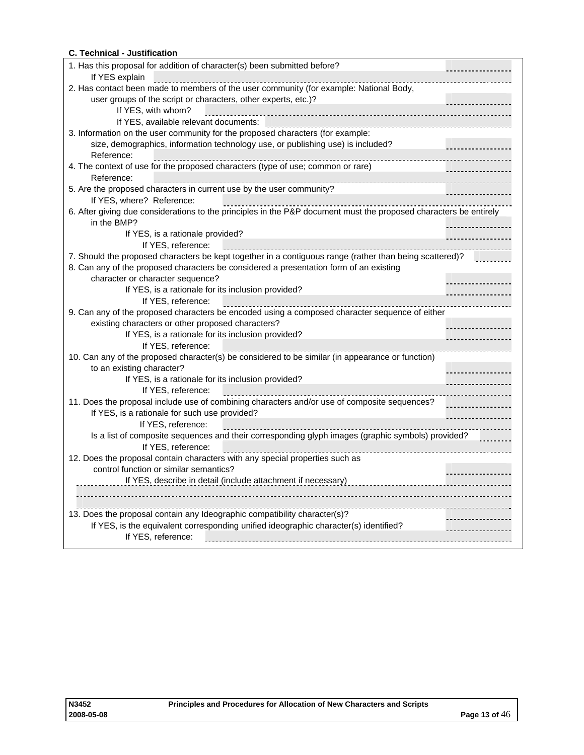## **C. Technical - Justification**

| 1. Has this proposal for addition of character(s) been submitted before?                                          |   |
|-------------------------------------------------------------------------------------------------------------------|---|
| If YES explain                                                                                                    |   |
| 2. Has contact been made to members of the user community (for example: National Body,                            |   |
| user groups of the script or characters, other experts, etc.)?                                                    |   |
| If YES, with whom?                                                                                                |   |
|                                                                                                                   |   |
| 3. Information on the user community for the proposed characters (for example:                                    |   |
| size, demographics, information technology use, or publishing use) is included?                                   |   |
| Reference:                                                                                                        |   |
| 4. The context of use for the proposed characters (type of use; common or rare)                                   |   |
| Reference:                                                                                                        |   |
| 5. Are the proposed characters in current use by the user community?                                              |   |
| If YES, where? Reference:                                                                                         |   |
| 6. After giving due considerations to the principles in the P&P document must the proposed characters be entirely |   |
| in the BMP?                                                                                                       |   |
| If YES, is a rationale provided?                                                                                  |   |
| If YES, reference:                                                                                                |   |
| 7. Should the proposed characters be kept together in a contiguous range (rather than being scattered)?           |   |
| 8. Can any of the proposed characters be considered a presentation form of an existing                            |   |
| character or character sequence?                                                                                  |   |
| If YES, is a rationale for its inclusion provided?                                                                | . |
| If YES, reference:                                                                                                |   |
| 9. Can any of the proposed characters be encoded using a composed character sequence of either                    |   |
| existing characters or other proposed characters?                                                                 |   |
| If YES, is a rationale for its inclusion provided?                                                                |   |
| If YES, reference:                                                                                                |   |
| 10. Can any of the proposed character(s) be considered to be similar (in appearance or function)                  |   |
| to an existing character?                                                                                         | . |
| If YES, is a rationale for its inclusion provided?                                                                |   |
| If YES, reference:                                                                                                |   |
| 11. Does the proposal include use of combining characters and/or use of composite sequences?                      |   |
| If YES, is a rationale for such use provided?                                                                     |   |
| If YES, reference:                                                                                                |   |
| Is a list of composite sequences and their corresponding glyph images (graphic symbols) provided?                 |   |
| If YES, reference:                                                                                                |   |
| 12. Does the proposal contain characters with any special properties such as                                      |   |
| control function or similar semantics?                                                                            |   |
| If YES, describe in detail (include attachment if necessary)                                                      |   |
|                                                                                                                   |   |
|                                                                                                                   |   |
| 13. Does the proposal contain any Ideographic compatibility character(s)?                                         |   |
| If YES, is the equivalent corresponding unified ideographic character(s) identified?                              |   |
| If YES, reference:                                                                                                |   |
|                                                                                                                   |   |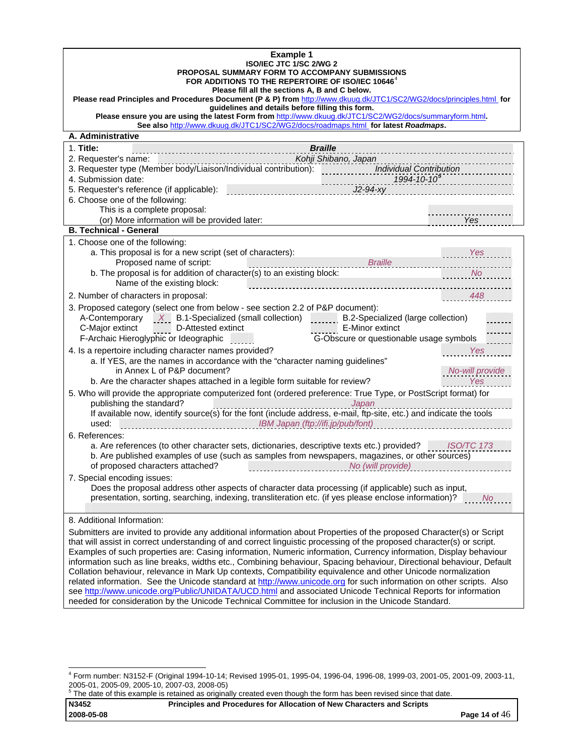| <b>Example 1</b><br>ISO/IEC JTC 1/SC 2/WG 2<br><b>PROPOSAL SUMMARY FORM TO ACCOMPANY SUBMISSIONS</b><br>FOR ADDITIONS TO THE REPERTOIRE OF ISO/IEC 10646 <sup>4</sup><br>Please fill all the sections A, B and C below.<br>Please read Principles and Procedures Document (P & P) from http://www.dkuug.dk/JTC1/SC2/WG2/docs/principles.html for<br>guidelines and details before filling this form.<br>Please ensure you are using the latest Form from http://www.dkuug.dk/JTC1/SC2/WG2/docs/summaryform.html.<br>See also http://www.dkuug.dk/JTC1/SC2/WG2/docs/roadmaps.html for latest Roadmaps.<br>A. Administrative                                                                                                                                                                                                                                                                                                                                                                                                                                                                                                                                                                         |                                                                                                                                                                     |
|----------------------------------------------------------------------------------------------------------------------------------------------------------------------------------------------------------------------------------------------------------------------------------------------------------------------------------------------------------------------------------------------------------------------------------------------------------------------------------------------------------------------------------------------------------------------------------------------------------------------------------------------------------------------------------------------------------------------------------------------------------------------------------------------------------------------------------------------------------------------------------------------------------------------------------------------------------------------------------------------------------------------------------------------------------------------------------------------------------------------------------------------------------------------------------------------------|---------------------------------------------------------------------------------------------------------------------------------------------------------------------|
|                                                                                                                                                                                                                                                                                                                                                                                                                                                                                                                                                                                                                                                                                                                                                                                                                                                                                                                                                                                                                                                                                                                                                                                                    |                                                                                                                                                                     |
| 1. Title:<br><b>Braille</b><br>Kohji Shibano, Japan<br>2. Requester's name:<br>$1994 - 10 - 10^5$<br>4. Submission date:<br>$J2-94-xy$<br>5. Requester's reference (if applicable):<br>6. Choose one of the following:<br>This is a complete proposal:<br>(or) More information will be provided later:                                                                                                                                                                                                                                                                                                                                                                                                                                                                                                                                                                                                                                                                                                                                                                                                                                                                                            | and a construction of the control of the control of the control of the control of the control of the control of<br><b>Exercise Service SPR</b>                      |
| <b>B. Technical - General</b>                                                                                                                                                                                                                                                                                                                                                                                                                                                                                                                                                                                                                                                                                                                                                                                                                                                                                                                                                                                                                                                                                                                                                                      |                                                                                                                                                                     |
| 1. Choose one of the following:<br>a. This proposal is for a new script (set of characters):<br>Braille<br>Proposed name of script:<br>b. The proposal is for addition of character(s) to an existing block:<br>Name of the existing block:<br>2. Number of characters in proposal:<br>3. Proposed category (select one from below - see section 2.2 of P&P document):<br>A-Contemporary $X$ B.1-Specialized (small collection) $\frac{1}{2}$<br>B.2-Specialized (large collection)<br>C-Major extinct D-Attested extinct<br>E-Minor extinct<br>F-Archaic Hieroglyphic or Ideographic<br>G-Obscure or questionable usage symbols<br>4. Is a repertoire including character names provided?<br>a. If YES, are the names in accordance with the "character naming guidelines"<br>in Annex L of P&P document?<br>b. Are the character shapes attached in a legible form suitable for review?<br>5. Who will provide the appropriate computerized font (ordered preference: True Type, or PostScript format) for<br>publishing the standard?<br>Japan<br>If available now, identify source(s) for the font (include address, e-mail, ftp-site, etc.) and indicate the tools<br>used:<br>6. References: | Yes<br>No.<br>448<br>a a Yes Mes<br>No-will provide<br><b>Example Street Yes</b><br>the contract of the contract of the contract of the contract of the contract of |
| a. Are references (to other character sets, dictionaries, descriptive texts etc.) provided? ISO/TC 173<br>b. Are published examples of use (such as samples from newspapers, magazines, or other sources)<br>of proposed characters attached?<br>No (will provide)<br>7. Special encoding issues:<br>Does the proposal address other aspects of character data processing (if applicable) such as input,<br>presentation, sorting, searching, indexing, transliteration etc. (if yes please enclose information)?                                                                                                                                                                                                                                                                                                                                                                                                                                                                                                                                                                                                                                                                                  | <b>No</b>                                                                                                                                                           |
| 8. Additional Information:                                                                                                                                                                                                                                                                                                                                                                                                                                                                                                                                                                                                                                                                                                                                                                                                                                                                                                                                                                                                                                                                                                                                                                         |                                                                                                                                                                     |
| Submitters are invited to provide any additional information about Properties of the proposed Character(s) or Script<br>that will assist in correct understanding of and correct linguistic processing of the proposed character(s) or script.<br>Examples of such properties are: Casing information, Numeric information, Currency information, Display behaviour<br>information such as line breaks, widths etc., Combining behaviour, Spacing behaviour, Directional behaviour, Default<br>Collation behaviour, relevance in Mark Up contexts, Compatibility equivalence and other Unicode normalization<br>related information. See the Unicode standard at http://www.unicode.org for such information on other scripts. Also<br>see http://www.unicode.org/Public/UNIDATA/UCD.html and associated Unicode Technical Reports for information<br>needed for consideration by the Unicode Technical Committee for inclusion in the Unicode Standard.                                                                                                                                                                                                                                           |                                                                                                                                                                     |

<span id="page-13-1"></span><span id="page-13-0"></span> 4 Form number: N3152-F (Original 1994-10-14; Revised 1995-01, 1995-04, 1996-04, 1996-08, 1999-03, 2001-05, 2001-09, 2003-11, 2005-01, 2005-09, 2005-10, 2007-03, 2008-05) 5 The date of this example is retained as originally created even though the form has been revised since that date.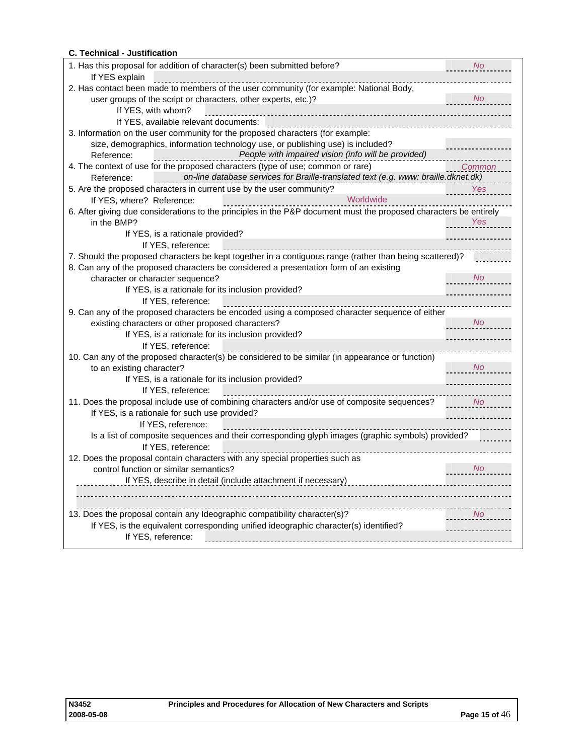## **C. Technical - Justification**

| 1. Has this proposal for addition of character(s) been submitted before?                                          | No        |
|-------------------------------------------------------------------------------------------------------------------|-----------|
| If YES explain                                                                                                    |           |
| 2. Has contact been made to members of the user community (for example: National Body,                            |           |
| user groups of the script or characters, other experts, etc.)?                                                    | <b>No</b> |
| If YES, with whom?                                                                                                |           |
| If YES, available relevant documents:                                                                             |           |
| 3. Information on the user community for the proposed characters (for example:                                    |           |
| size, demographics, information technology use, or publishing use) is included?                                   |           |
| People with impaired vision (info will be provided)<br>Reference:<br>.                                            |           |
| 4. The context of use for the proposed characters (type of use; common or rare)                                   | Common    |
| on-line database services for Braille-translated text (e.g. www: braille.dknet.dk)<br>Reference:                  |           |
| 5. Are the proposed characters in current use by the user community?                                              | Yes       |
| Worldwide<br>If YES, where? Reference:                                                                            |           |
| 6. After giving due considerations to the principles in the P&P document must the proposed characters be entirely |           |
| in the BMP?                                                                                                       | Yes       |
| If YES, is a rationale provided?                                                                                  |           |
| If YES, reference:                                                                                                |           |
| 7. Should the proposed characters be kept together in a contiguous range (rather than being scattered)?           |           |
| 8. Can any of the proposed characters be considered a presentation form of an existing                            |           |
| character or character sequence?                                                                                  | <b>No</b> |
| If YES, is a rationale for its inclusion provided?                                                                |           |
| If YES, reference:                                                                                                |           |
| 9. Can any of the proposed characters be encoded using a composed character sequence of either                    |           |
| existing characters or other proposed characters?                                                                 | No        |
| If YES, is a rationale for its inclusion provided?                                                                |           |
| If YES, reference:                                                                                                |           |
| 10. Can any of the proposed character(s) be considered to be similar (in appearance or function)                  |           |
| to an existing character?                                                                                         | <b>No</b> |
| If YES, is a rationale for its inclusion provided?                                                                |           |
| If YES, reference:                                                                                                |           |
| 11. Does the proposal include use of combining characters and/or use of composite sequences?                      | <b>No</b> |
| If YES, is a rationale for such use provided?                                                                     |           |
| If YES, reference:                                                                                                |           |
| Is a list of composite sequences and their corresponding glyph images (graphic symbols) provided?                 |           |
| If YES, reference:                                                                                                |           |
| 12. Does the proposal contain characters with any special properties such as                                      |           |
| control function or similar semantics?                                                                            | <b>No</b> |
| If YES, describe in detail (include attachment if necessary)                                                      |           |
|                                                                                                                   |           |
|                                                                                                                   |           |
| 13. Does the proposal contain any Ideographic compatibility character(s)?                                         | No        |
| If YES, is the equivalent corresponding unified ideographic character(s) identified?                              |           |
| If YES, reference:                                                                                                |           |
|                                                                                                                   |           |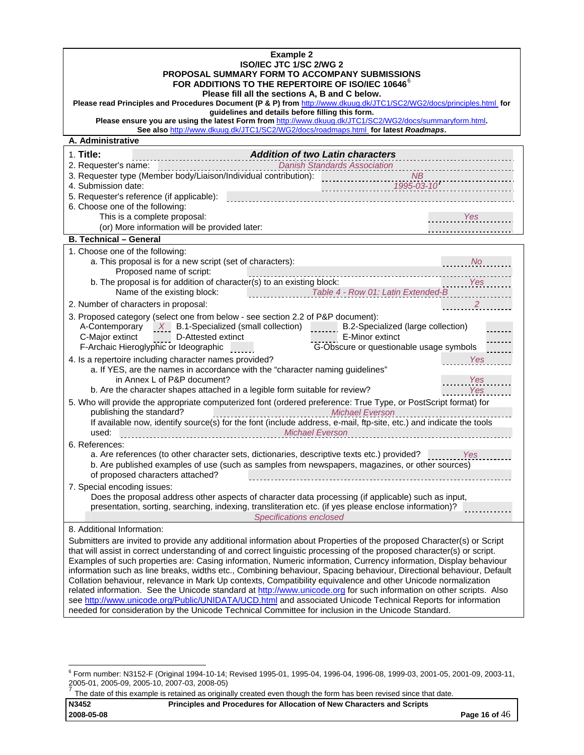| <b>Example 2</b><br>ISO/IEC JTC 1/SC 2/WG 2<br><b>PROPOSAL SUMMARY FORM TO ACCOMPANY SUBMISSIONS</b><br>FOR ADDITIONS TO THE REPERTOIRE OF ISO/IEC 10646 <sup>6</sup><br>Please fill all the sections A, B and C below.<br>Please read Principles and Procedures Document (P & P) from http://www.dkuug.dk/JTC1/SC2/WG2/docs/principles.html for<br>guidelines and details before filling this form.<br>Please ensure you are using the latest Form from http://www.dkuug.dk/JTC1/SC2/WG2/docs/summaryform.html.<br>See also http://www.dkuug.dk/JTC1/SC2/WG2/docs/roadmaps.html for latest Roadmaps.                                                                                                                                                                                                                                                                                                                                                                                  |
|----------------------------------------------------------------------------------------------------------------------------------------------------------------------------------------------------------------------------------------------------------------------------------------------------------------------------------------------------------------------------------------------------------------------------------------------------------------------------------------------------------------------------------------------------------------------------------------------------------------------------------------------------------------------------------------------------------------------------------------------------------------------------------------------------------------------------------------------------------------------------------------------------------------------------------------------------------------------------------------|
| A. Administrative                                                                                                                                                                                                                                                                                                                                                                                                                                                                                                                                                                                                                                                                                                                                                                                                                                                                                                                                                                      |
| 1. Title:<br><b>Addition of two Latin characters</b><br>2. Requester's name:<br><b>Danish Standards Association</b><br>3. Requester type (Member body/Liaison/Individual contribution):<br>NB<br>4. Submission date:<br>5. Requester's reference (if applicable):<br>6. Choose one of the following:<br>This is a complete proposal:<br>Yes<br>(or) More information will be provided later:<br><b>B. Technical - General</b>                                                                                                                                                                                                                                                                                                                                                                                                                                                                                                                                                          |
|                                                                                                                                                                                                                                                                                                                                                                                                                                                                                                                                                                                                                                                                                                                                                                                                                                                                                                                                                                                        |
| 1. Choose one of the following:<br>a. This proposal is for a new script (set of characters):<br>No.<br>Proposed name of script:<br>.<br>b. The proposal is for addition of character(s) to an existing block:<br>Yes<br>Name of the existing block:<br>Table 4 - Row 01: Latin Extended-B<br>2. Number of characters in proposal:<br>3. Proposed category (select one from below - see section 2.2 of P&P document):                                                                                                                                                                                                                                                                                                                                                                                                                                                                                                                                                                   |
| A-Contemporary $X$ B.1-Specialized (small collection)<br>B.2-Specialized (large collection)<br>C-Major extinct<br>D-Attested extinct<br>E-Minor extinct<br>G-Obscure or questionable usage symbols<br>F-Archaic Hieroglyphic or Ideographic<br>4. Is a repertoire including character names provided?<br>Yes<br>a. If YES, are the names in accordance with the "character naming guidelines"<br>in Annex L of P&P document?<br>Yes<br>Yes                                                                                                                                                                                                                                                                                                                                                                                                                                                                                                                                             |
| b. Are the character shapes attached in a legible form suitable for review?<br>5. Who will provide the appropriate computerized font (ordered preference: True Type, or PostScript format) for<br>publishing the standard?<br><b>Michael Everson</b><br>publishing the standard?<br>If available now, identify source(s) for the font (include address, e-mail, ftp-site, etc.) and indicate the tools<br>used:                                                                                                                                                                                                                                                                                                                                                                                                                                                                                                                                                                        |
| 6. References:<br>a. Are references (to other character sets, dictionaries, descriptive texts etc.) provided? Yes<br>b. Are published examples of use (such as samples from newspapers, magazines, or other sources)<br>of proposed characters attached?                                                                                                                                                                                                                                                                                                                                                                                                                                                                                                                                                                                                                                                                                                                               |
| 7. Special encoding issues:<br>Does the proposal address other aspects of character data processing (if applicable) such as input,<br>presentation, sorting, searching, indexing, transliteration etc. (if yes please enclose information)?<br>Specifications enclosed                                                                                                                                                                                                                                                                                                                                                                                                                                                                                                                                                                                                                                                                                                                 |
| 8. Additional Information:<br>Submitters are invited to provide any additional information about Properties of the proposed Character(s) or Script<br>that will assist in correct understanding of and correct linguistic processing of the proposed character(s) or script.<br>Examples of such properties are: Casing information, Numeric information, Currency information, Display behaviour<br>information such as line breaks, widths etc., Combining behaviour, Spacing behaviour, Directional behaviour, Default<br>Collation behaviour, relevance in Mark Up contexts, Compatibility equivalence and other Unicode normalization<br>related information. See the Unicode standard at http://www.unicode.org for such information on other scripts. Also<br>see http://www.unicode.org/Public/UNIDATA/UCD.html and associated Unicode Technical Reports for information<br>needed for consideration by the Unicode Technical Committee for inclusion in the Unicode Standard. |

<span id="page-15-1"></span><span id="page-15-0"></span> 6 Form number: N3152-F (Original 1994-10-14; Revised 1995-01, 1995-04, 1996-04, 1996-08, 1999-03, 2001-05, 2001-09, 2003-11, 2005-01, 2005-09, 2005-10, 2007-03, 2008-05)<br><sup>7</sup> The date of this example is retained as originally created even though the form has been revised since that date.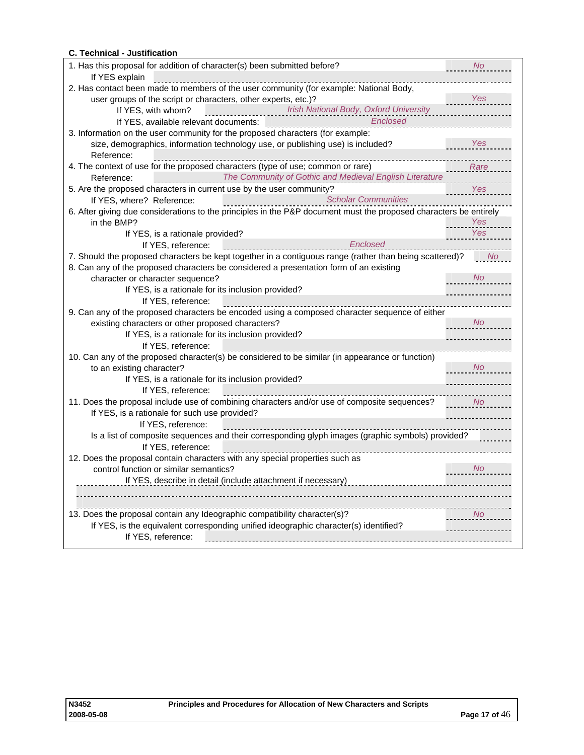## **C. Technical - Justification**

| 1. Has this proposal for addition of character(s) been submitted before?<br>If YES explain                        | <b>No</b>      |
|-------------------------------------------------------------------------------------------------------------------|----------------|
| 2. Has contact been made to members of the user community (for example: National Body,                            |                |
| user groups of the script or characters, other experts, etc.)?                                                    | Yes            |
| Irish National Body, Oxford University<br>If YES, with whom?                                                      |                |
| Enclosed                                                                                                          |                |
| 3. Information on the user community for the proposed characters (for example:                                    |                |
| size, demographics, information technology use, or publishing use) is included?                                   | Yes            |
| Reference:                                                                                                        |                |
| 4. The context of use for the proposed characters (type of use; common or rare)                                   | Rare           |
| The Community of Gothic and Medieval English Literature<br>Reference:                                             |                |
| 5. Are the proposed characters in current use by the user community?                                              | Yes            |
| Scholar Communities<br>If YES, where? Reference:                                                                  |                |
| 6. After giving due considerations to the principles in the P&P document must the proposed characters be entirely |                |
| in the BMP?                                                                                                       | Yes            |
| If YES, is a rationale provided?                                                                                  | Yes            |
| Enclosed<br>If YES, reference:                                                                                    |                |
| 7. Should the proposed characters be kept together in a contiguous range (rather than being scattered)?           | <b>No</b>      |
| 8. Can any of the proposed characters be considered a presentation form of an existing                            |                |
| character or character sequence?                                                                                  | <b>No</b>      |
| If YES, is a rationale for its inclusion provided?                                                                |                |
| If YES, reference:                                                                                                |                |
| 9. Can any of the proposed characters be encoded using a composed character sequence of either                    |                |
| existing characters or other proposed characters?                                                                 | <b>No</b>      |
| If YES, is a rationale for its inclusion provided?                                                                |                |
| If YES, reference:                                                                                                |                |
| 10. Can any of the proposed character(s) be considered to be similar (in appearance or function)                  |                |
| to an existing character?                                                                                         | <b>No</b>      |
| If YES, is a rationale for its inclusion provided?                                                                |                |
| If YES, reference:                                                                                                |                |
| 11. Does the proposal include use of combining characters and/or use of composite sequences?                      | <b>No</b>      |
| If YES, is a rationale for such use provided?                                                                     |                |
| If YES, reference:                                                                                                |                |
| Is a list of composite sequences and their corresponding glyph images (graphic symbols) provided?                 |                |
| If YES, reference:                                                                                                |                |
| 12. Does the proposal contain characters with any special properties such as                                      |                |
| control function or similar semantics?                                                                            | No.            |
| If YES, describe in detail (include attachment if necessary)                                                      |                |
|                                                                                                                   |                |
|                                                                                                                   |                |
| 13. Does the proposal contain any Ideographic compatibility character(s)?                                         | N <sub>o</sub> |
| If YES, is the equivalent corresponding unified ideographic character(s) identified?                              |                |
| If YES, reference:                                                                                                |                |
|                                                                                                                   |                |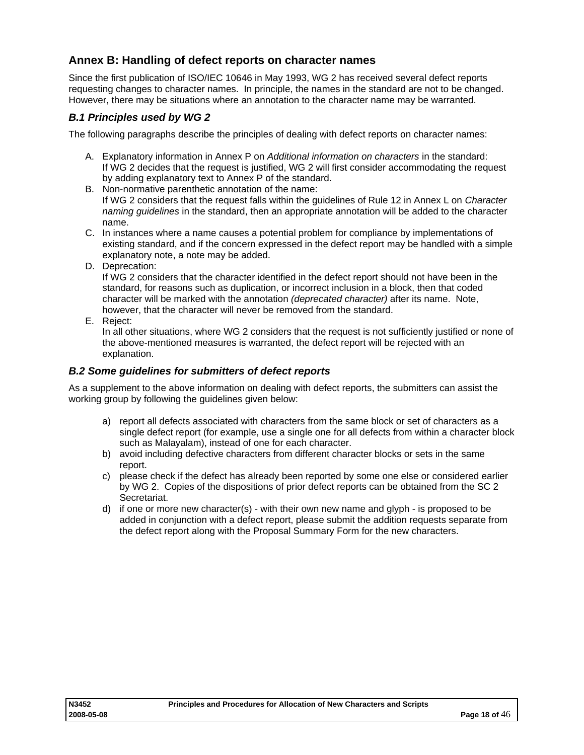## <span id="page-17-0"></span>**Annex B: Handling of defect reports on character names**

Since the first publication of ISO/IEC 10646 in May 1993, WG 2 has received several defect reports requesting changes to character names. In principle, the names in the standard are not to be changed. However, there may be situations where an annotation to the character name may be warranted.

## *B.1 Principles used by WG 2*

The following paragraphs describe the principles of dealing with defect reports on character names:

- A. Explanatory information in Annex P on *Additional information on characters* in the standard: If WG 2 decides that the request is justified, WG 2 will first consider accommodating the request by adding explanatory text to Annex P of the standard.
- B. Non-normative parenthetic annotation of the name: If WG 2 considers that the request falls within the guidelines of Rule 12 in Annex L on *Character naming guidelines* in the standard, then an appropriate annotation will be added to the character name.
- C. In instances where a name causes a potential problem for compliance by implementations of existing standard, and if the concern expressed in the defect report may be handled with a simple explanatory note, a note may be added.
- D. Deprecation:

If WG 2 considers that the character identified in the defect report should not have been in the standard, for reasons such as duplication, or incorrect inclusion in a block, then that coded character will be marked with the annotation *(deprecated character)* after its name. Note, however, that the character will never be removed from the standard.

E. Reject:

In all other situations, where WG 2 considers that the request is not sufficiently justified or none of the above-mentioned measures is warranted, the defect report will be rejected with an explanation.

## *B.2 Some guidelines for submitters of defect reports*

As a supplement to the above information on dealing with defect reports, the submitters can assist the working group by following the guidelines given below:

- a) report all defects associated with characters from the same block or set of characters as a single defect report (for example, use a single one for all defects from within a character block such as Malayalam), instead of one for each character.
- b) avoid including defective characters from different character blocks or sets in the same report.
- c) please check if the defect has already been reported by some one else or considered earlier by WG 2. Copies of the dispositions of prior defect reports can be obtained from the SC 2 Secretariat.
- d) if one or more new character(s) with their own new name and glyph is proposed to be added in conjunction with a defect report, please submit the addition requests separate from the defect report along with the Proposal Summary Form for the new characters.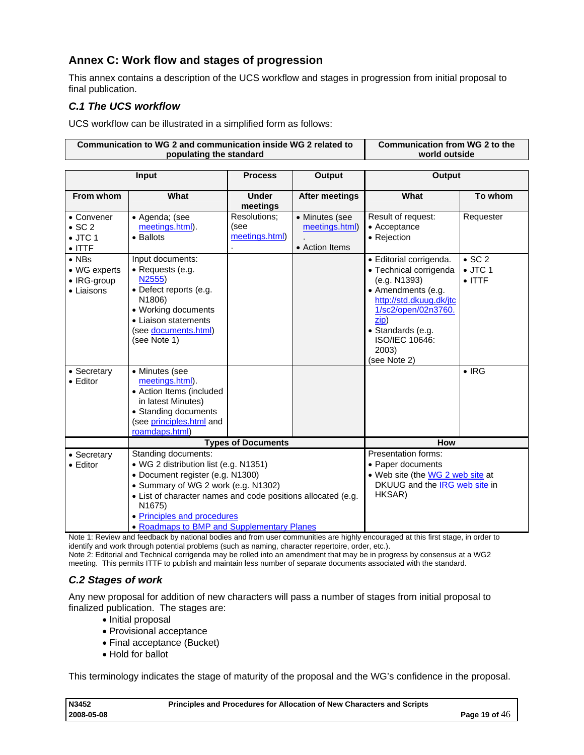## <span id="page-18-0"></span>**Annex C: Work flow and stages of progression**

This annex contains a description of the UCS workflow and stages in progression from initial proposal to final publication.

## *C.1 The UCS workflow*

UCS workflow can be illustrated in a simplified form as follows:

|                                                                   | Communication to WG 2 and communication inside WG 2 related to<br>populating the standard                                                                                                                                                                     |                                        |                                                    | <b>Communication from WG 2 to the</b><br>world outside                                                                                                                                                            |                                                     |  |
|-------------------------------------------------------------------|---------------------------------------------------------------------------------------------------------------------------------------------------------------------------------------------------------------------------------------------------------------|----------------------------------------|----------------------------------------------------|-------------------------------------------------------------------------------------------------------------------------------------------------------------------------------------------------------------------|-----------------------------------------------------|--|
|                                                                   | Input                                                                                                                                                                                                                                                         | <b>Process</b><br>Output               |                                                    | Output                                                                                                                                                                                                            |                                                     |  |
| From whom                                                         | What                                                                                                                                                                                                                                                          | <b>Under</b><br>meetings               | <b>After meetings</b>                              | What                                                                                                                                                                                                              | To whom                                             |  |
| • Convener<br>$\bullet$ SC 2<br>$\bullet$ JTC 1<br>$\bullet$ ITTF | · Agenda; (see<br>meetings.html).<br>• Ballots                                                                                                                                                                                                                | Resolutions;<br>(see<br>meetings.html) | • Minutes (see<br>meetings.html)<br>• Action Items | Result of request:<br>• Acceptance<br>• Rejection                                                                                                                                                                 | Requester                                           |  |
| $\bullet$ NBs<br>• WG experts<br>• IRG-group<br>• Liaisons        | Input documents:<br>• Requests (e.g.<br>N2555)<br>• Defect reports (e.g.<br>N1806)<br>• Working documents<br>• Liaison statements<br>(see documents.html)<br>(see Note 1)                                                                                     |                                        |                                                    | · Editorial corrigenda.<br>• Technical corrigenda<br>(e.g. N1393)<br>• Amendments (e.g.<br>http://std.dkuug.dk/jtc<br>1/sc2/open/02n3760.<br>zip)<br>· Standards (e.g.<br>ISO/IEC 10646:<br>2003)<br>(see Note 2) | $\bullet$ SC 2<br>$\bullet$ JTC 1<br>$\bullet$ ITTF |  |
| • Secretary<br>$\bullet$ Editor                                   | • Minutes (see<br>meetings.html).<br>• Action Items (included<br>in latest Minutes)<br>• Standing documents<br>(see principles.html and<br>roamdaps.html)                                                                                                     |                                        |                                                    |                                                                                                                                                                                                                   | $\bullet$ IRG                                       |  |
|                                                                   |                                                                                                                                                                                                                                                               | <b>Types of Documents</b>              |                                                    | <b>How</b>                                                                                                                                                                                                        |                                                     |  |
| • Secretary<br>$\bullet$ Editor                                   | Standing documents:<br>• WG 2 distribution list (e.g. N1351)<br>• Document register (e.g. N1300)<br>• Summary of WG 2 work (e.g. N1302)<br>• List of character names and code positions allocated (e.g.<br>N <sub>1675</sub> )<br>• Principles and procedures |                                        |                                                    | Presentation forms:<br>• Paper documents<br>• Web site (the WG 2 web site at<br>DKUUG and the IRG web site in<br>HKSAR)                                                                                           |                                                     |  |
|                                                                   | • Roadmaps to BMP and Supplementary Planes                                                                                                                                                                                                                    |                                        |                                                    |                                                                                                                                                                                                                   |                                                     |  |

Note 1: Review and feedback by national bodies and from user communities are highly encouraged at this first stage, in order to identify and work through potential problems (such as naming, character repertoire, order, etc.).

Note 2: Editorial and Technical corrigenda may be rolled into an amendment that may be in progress by consensus at a WG2 meeting. This permits ITTF to publish and maintain less number of separate documents associated with the standard.

## *C.2 Stages of work*

Any new proposal for addition of new characters will pass a number of stages from initial proposal to finalized publication. The stages are:

- Initial proposal
- Provisional acceptance
- Final acceptance (Bucket)
- Hold for ballot

This terminology indicates the stage of maturity of the proposal and the WG's confidence in the proposal.

| N3452      | Principles and Procedures for Allocation of New Characters and Scripts |                 |
|------------|------------------------------------------------------------------------|-----------------|
| 2008-05-08 |                                                                        | Page 19 of $46$ |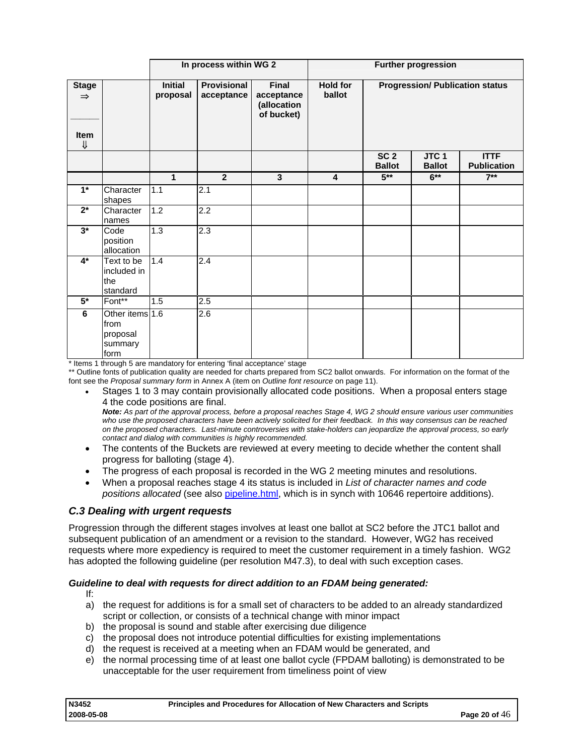<span id="page-19-0"></span>

|                                                    |                                                        | In process within WG 2     |                           |                                                  | <b>Further progression</b> |                                  |                              |                                        |
|----------------------------------------------------|--------------------------------------------------------|----------------------------|---------------------------|--------------------------------------------------|----------------------------|----------------------------------|------------------------------|----------------------------------------|
| <b>Stage</b><br>$\Rightarrow$<br><b>Item</b><br>IJ |                                                        | <b>Initial</b><br>proposal | Provisional<br>acceptance | Final<br>acceptance<br>(allocation<br>of bucket) | <b>Hold for</b><br>ballot  |                                  |                              | <b>Progression/ Publication status</b> |
|                                                    |                                                        |                            |                           |                                                  |                            | SC <sub>2</sub><br><b>Ballot</b> | <b>JTC1</b><br><b>Ballot</b> | <b>ITTF</b><br><b>Publication</b>      |
|                                                    |                                                        | $\mathbf{1}$               | $\overline{2}$            | $\mathbf{3}$                                     | $\overline{\mathbf{4}}$    | $5***$                           | $6***$                       | $7**$                                  |
| $1*$                                               | Character<br>shapes                                    | 1.1                        | 2.1                       |                                                  |                            |                                  |                              |                                        |
| $2^*$                                              | Character<br>names                                     | 1.2                        | 2.2                       |                                                  |                            |                                  |                              |                                        |
| $3^*$                                              | Code<br>position<br>allocation                         | $\overline{1.3}$           | 2.3                       |                                                  |                            |                                  |                              |                                        |
| $4^*$                                              | Text to be<br>included in<br>the<br>standard           | 1.4                        | 2.4                       |                                                  |                            |                                  |                              |                                        |
| $5*$                                               | Font**                                                 | 1.5                        | 2.5                       |                                                  |                            |                                  |                              |                                        |
| 6                                                  | Other items 1.6<br>from<br>proposal<br>summary<br>form |                            | 2.6                       |                                                  |                            |                                  |                              |                                        |

\* Items 1 through 5 are mandatory for entering 'final acceptance' stage

\*\* Outline fonts of publication quality are needed for charts prepared from SC2 ballot onwards. For information on the format of the font see the *Proposal summary form* in Annex A (item on *Outline font resource* on page [11\)](#page-10-0).

• Stages 1 to 3 may contain provisionally allocated code positions. When a proposal enters stage 4 the code positions are final.

*Note: As part of the approval process, before a proposal reaches Stage 4, WG 2 should ensure various user communities*  who use the proposed characters have been actively solicited for their feedback. In this way consensus can be reached *on the proposed characters. Last-minute controversies with stake-holders can jeopardize the approval process, so early contact and dialog with communities is highly recommended.* 

- The contents of the Buckets are reviewed at every meeting to decide whether the content shall progress for balloting (stage 4).
- The progress of each proposal is recorded in the WG 2 meeting minutes and resolutions.
- When a proposal reaches stage 4 its status is included in *List of character names and code positions allocated* (see also [pipeline.html,](http://www.unicode.org/alloc/Pipeline.html) which is in synch with 10646 repertoire additions).

## *C.3 Dealing with urgent requests*

Progression through the different stages involves at least one ballot at SC2 before the JTC1 ballot and subsequent publication of an amendment or a revision to the standard. However, WG2 has received requests where more expediency is required to meet the customer requirement in a timely fashion. WG2 has adopted the following guideline (per resolution M47.3), to deal with such exception cases.

#### *Guideline to deal with requests for direct addition to an FDAM being generated:*

- If:
	- a) the request for additions is for a small set of characters to be added to an already standardized script or collection, or consists of a technical change with minor impact
	- b) the proposal is sound and stable after exercising due diligence
	- c) the proposal does not introduce potential difficulties for existing implementations
	- d) the request is received at a meeting when an FDAM would be generated, and
	- e) the normal processing time of at least one ballot cycle (FPDAM balloting) is demonstrated to be unacceptable for the user requirement from timeliness point of view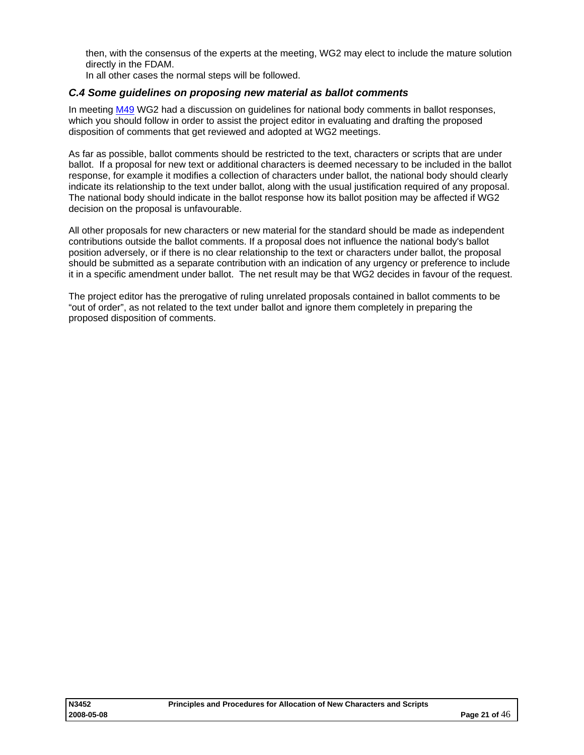<span id="page-20-0"></span>then, with the consensus of the experts at the meeting, WG2 may elect to include the mature solution directly in the FDAM.

In all other cases the normal steps will be followed.

#### *C.4 Some guidelines on proposing new material as ballot comments*

In meeting [M49](http://www.dkuug.dk/JTC1/SC2/WG2/docs/n3153.pdf) WG2 had a discussion on guidelines for national body comments in ballot responses, which you should follow in order to assist the project editor in evaluating and drafting the proposed disposition of comments that get reviewed and adopted at WG2 meetings.

As far as possible, ballot comments should be restricted to the text, characters or scripts that are under ballot. If a proposal for new text or additional characters is deemed necessary to be included in the ballot response, for example it modifies a collection of characters under ballot, the national body should clearly indicate its relationship to the text under ballot, along with the usual justification required of any proposal. The national body should indicate in the ballot response how its ballot position may be affected if WG2 decision on the proposal is unfavourable.

All other proposals for new characters or new material for the standard should be made as independent contributions outside the ballot comments. If a proposal does not influence the national body's ballot position adversely, or if there is no clear relationship to the text or characters under ballot, the proposal should be submitted as a separate contribution with an indication of any urgency or preference to include it in a specific amendment under ballot. The net result may be that WG2 decides in favour of the request.

The project editor has the prerogative of ruling unrelated proposals contained in ballot comments to be "out of order", as not related to the text under ballot and ignore them completely in preparing the proposed disposition of comments.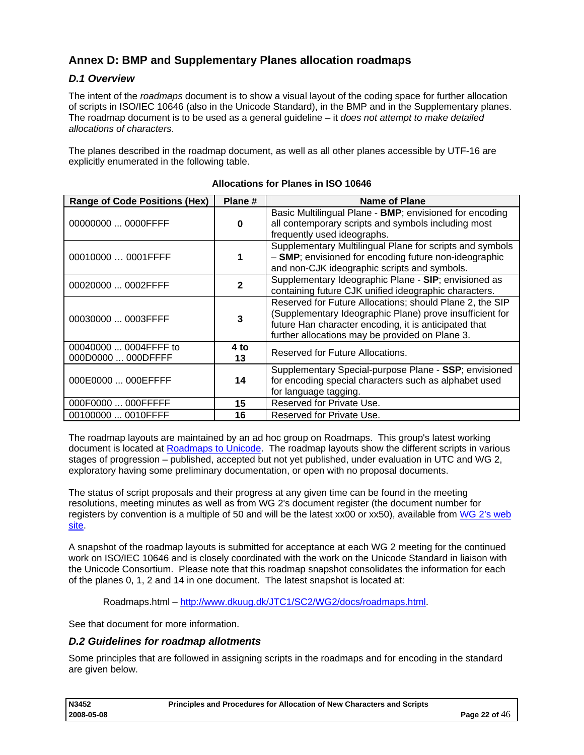## <span id="page-21-0"></span>**Annex D: BMP and Supplementary Planes allocation roadmaps**

## *D.1 Overview*

The intent of the *roadmaps* document is to show a visual layout of the coding space for further allocation of scripts in ISO/IEC 10646 (also in the Unicode Standard), in the BMP and in the Supplementary planes. The roadmap document is to be used as a general guideline – it *does not attempt to make detailed allocations of characters*.

The planes described in the roadmap document, as well as all other planes accessible by UTF-16 are explicitly enumerated in the following table.

| <b>Range of Code Positions (Hex)</b>        | Plane#     | Name of Plane                                                                                                                                                                                                                    |
|---------------------------------------------|------------|----------------------------------------------------------------------------------------------------------------------------------------------------------------------------------------------------------------------------------|
| 00000000  0000FFFF                          | 0          | Basic Multilingual Plane - BMP; envisioned for encoding<br>all contemporary scripts and symbols including most<br>frequently used ideographs.                                                                                    |
| 00010000  0001FFFF                          |            | Supplementary Multilingual Plane for scripts and symbols<br>- SMP; envisioned for encoding future non-ideographic<br>and non-CJK ideographic scripts and symbols.                                                                |
| 00020000  0002FFFF                          |            | Supplementary Ideographic Plane - SIP; envisioned as<br>containing future CJK unified ideographic characters.                                                                                                                    |
| 00030000  0003FFFF                          | 3          | Reserved for Future Allocations; should Plane 2, the SIP<br>(Supplementary Ideographic Plane) prove insufficient for<br>future Han character encoding, it is anticipated that<br>further allocations may be provided on Plane 3. |
| 00040000  0004FFFF to<br>000D0000  000DFFFF | 4 to<br>13 | Reserved for Future Allocations.                                                                                                                                                                                                 |
| 000E0000  000EFFFF                          | 14         | Supplementary Special-purpose Plane - SSP; envisioned<br>for encoding special characters such as alphabet used<br>for language tagging.                                                                                          |
| 000F0000  000FFFFF                          | 15         | Reserved for Private Use.                                                                                                                                                                                                        |
| 00100000  0010FFFF                          | 16         | Reserved for Private Use.                                                                                                                                                                                                        |

## **Allocations for Planes in ISO 10646**

The roadmap layouts are maintained by an ad hoc group on Roadmaps. This group's latest working document is located at [Roadmaps to Unicode.](http://www.unicode.org/roadmaps) The roadmap layouts show the different scripts in various stages of progression – published, accepted but not yet published, under evaluation in UTC and WG 2, exploratory having some preliminary documentation, or open with no proposal documents.

The status of script proposals and their progress at any given time can be found in the meeting resolutions, meeting minutes as well as from WG 2's document register (the document number for registers by convention is a multiple of 50 and will be the latest xx00 or xx50), available from WG 2's web [site.](http://std.dkuug.dk/JTC1/SC2/WG2)

A snapshot of the roadmap layouts is submitted for acceptance at each WG 2 meeting for the continued work on ISO/IEC 10646 and is closely coordinated with the work on the Unicode Standard in liaison with the Unicode Consortium. Please note that this roadmap snapshot consolidates the information for each of the planes 0, 1, 2 and 14 in one document. The latest snapshot is located at:

Roadmaps.html – [http://www.dkuug.dk/JTC1/SC2/WG2/docs/roadmaps.html.](http://www.dkuug.dk/JTC1/SC2/WG2/docs/roadmaps.html)

See that document for more information.

## *D.2 Guidelines for roadmap allotments*

Some principles that are followed in assigning scripts in the roadmaps and for encoding in the standard are given below.

| N3452      | Principles and Procedures for Allocation of New Characters and Scripts |                 |
|------------|------------------------------------------------------------------------|-----------------|
| 2008-05-08 |                                                                        | Page 22 of $46$ |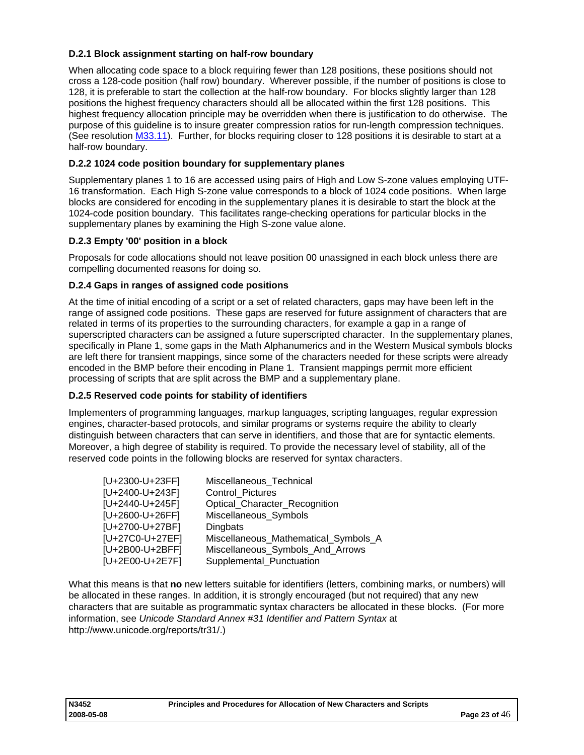## <span id="page-22-0"></span>**D.2.1 Block assignment starting on half-row boundary**

When allocating code space to a block requiring fewer than 128 positions, these positions should not cross a 128-code position (half row) boundary. Wherever possible, if the number of positions is close to 128, it is preferable to start the collection at the half-row boundary. For blocks slightly larger than 128 positions the highest frequency characters should all be allocated within the first 128 positions. This highest frequency allocation principle may be overridden when there is justification to do otherwise. The purpose of this guideline is to insure greater compression ratios for run-length compression techniques. (See resolution [M33.11](http://www.dkuug.dk/JTC1/SC2/WG2/docs/n1604.htm)). Further, for blocks requiring closer to 128 positions it is desirable to start at a half-row boundary.

## **D.2.2 1024 code position boundary for supplementary planes**

Supplementary planes 1 to 16 are accessed using pairs of High and Low S-zone values employing UTF-16 transformation. Each High S-zone value corresponds to a block of 1024 code positions. When large blocks are considered for encoding in the supplementary planes it is desirable to start the block at the 1024-code position boundary. This facilitates range-checking operations for particular blocks in the supplementary planes by examining the High S-zone value alone.

## **D.2.3 Empty '00' position in a block**

Proposals for code allocations should not leave position 00 unassigned in each block unless there are compelling documented reasons for doing so.

## **D.2.4 Gaps in ranges of assigned code positions**

At the time of initial encoding of a script or a set of related characters, gaps may have been left in the range of assigned code positions. These gaps are reserved for future assignment of characters that are related in terms of its properties to the surrounding characters, for example a gap in a range of superscripted characters can be assigned a future superscripted character. In the supplementary planes, specifically in Plane 1, some gaps in the Math Alphanumerics and in the Western Musical symbols blocks are left there for transient mappings, since some of the characters needed for these scripts were already encoded in the BMP before their encoding in Plane 1. Transient mappings permit more efficient processing of scripts that are split across the BMP and a supplementary plane.

## **D.2.5 Reserved code points for stability of identifiers**

Implementers of programming languages, markup languages, scripting languages, regular expression engines, character-based protocols, and similar programs or systems require the ability to clearly distinguish between characters that can serve in identifiers, and those that are for syntactic elements. Moreover, a high degree of stability is required. To provide the necessary level of stability, all of the reserved code points in the following blocks are reserved for syntax characters.

| [U+2300-U+23FF] | Miscellaneous_Technical              |
|-----------------|--------------------------------------|
| [U+2400-U+243F] | Control Pictures                     |
| [U+2440-U+245F] | Optical_Character_Recognition        |
| [U+2600-U+26FF] | Miscellaneous_Symbols                |
| [U+2700-U+27BF] | Dingbats                             |
| [U+27C0-U+27EF] | Miscellaneous_Mathematical_Symbols_A |
| [U+2B00-U+2BFF] | Miscellaneous_Symbols_And_Arrows     |
| [U+2E00-U+2E7F] | Supplemental_Punctuation             |

What this means is that **no** new letters suitable for identifiers (letters, combining marks, or numbers) will be allocated in these ranges. In addition, it is strongly encouraged (but not required) that any new characters that are suitable as programmatic syntax characters be allocated in these blocks. (For more information, see *Unicode Standard Annex #31 Identifier and Pattern Syntax* at http://www.unicode.org/reports/tr31/.)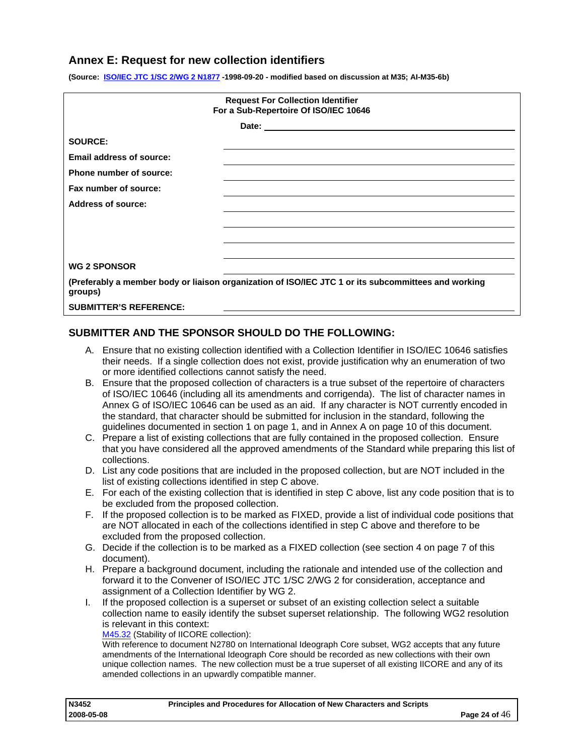## <span id="page-23-0"></span>**Annex E: Request for new collection identifiers**

**(Source: [ISO/IEC JTC 1/SC 2/WG 2 N1877](http://www.dkuug.dk/JTC1/SC2/WG2/docs/n1877.pdf) -1998-09-20 - modified based on discussion at M35; AI-M35-6b)** 

| <b>Request For Collection Identifier</b><br>For a Sub-Repertoire Of ISO/IEC 10646 |                                                                                                     |  |  |  |
|-----------------------------------------------------------------------------------|-----------------------------------------------------------------------------------------------------|--|--|--|
|                                                                                   |                                                                                                     |  |  |  |
| <b>SOURCE:</b>                                                                    |                                                                                                     |  |  |  |
| <b>Email address of source:</b>                                                   |                                                                                                     |  |  |  |
| Phone number of source:                                                           |                                                                                                     |  |  |  |
| Fax number of source:                                                             |                                                                                                     |  |  |  |
| <b>Address of source:</b>                                                         |                                                                                                     |  |  |  |
|                                                                                   |                                                                                                     |  |  |  |
|                                                                                   |                                                                                                     |  |  |  |
|                                                                                   |                                                                                                     |  |  |  |
| <b>WG 2 SPONSOR</b>                                                               |                                                                                                     |  |  |  |
| groups)                                                                           | (Preferably a member body or liaison organization of ISO/IEC JTC 1 or its subcommittees and working |  |  |  |
| <b>SUBMITTER'S REFERENCE:</b>                                                     |                                                                                                     |  |  |  |

## **SUBMITTER AND THE SPONSOR SHOULD DO THE FOLLOWING:**

- A. Ensure that no existing collection identified with a Collection Identifier in ISO/IEC 10646 satisfies their needs. If a single collection does not exist, provide justification why an enumeration of two or more identified collections cannot satisfy the need.
- B. Ensure that the proposed collection of characters is a true subset of the repertoire of characters of ISO/IEC 10646 (including all its amendments and corrigenda). The list of character names in Annex G of ISO/IEC 10646 can be used as an aid. If any character is NOT currently encoded in the standard, that character should be submitted for inclusion in the standard, following the guidelines documented in section 1 on page [1,](#page-2-0) and in Annex A on page [10](#page-9-0) of this document.
- C. Prepare a list of existing collections that are fully contained in the proposed collection. Ensure that you have considered all the approved amendments of the Standard while preparing this list of collections.
- D. List any code positions that are included in the proposed collection, but are NOT included in the list of existing collections identified in step C above.
- E. For each of the existing collection that is identified in step C above, list any code position that is to be excluded from the proposed collection.
- F. If the proposed collection is to be marked as FIXED, provide a list of individual code positions that are NOT allocated in each of the collections identified in step C above and therefore to be excluded from the proposed collection.
- G. Decide if the collection is to be marked as a FIXED collection (see section 4 on page [7](#page-6-0) of this document).
- H. Prepare a background document, including the rationale and intended use of the collection and forward it to the Convener of ISO/IEC JTC 1/SC 2/WG 2 for consideration, acceptance and assignment of a Collection Identifier by WG 2.
- I. If the proposed collection is a superset or subset of an existing collection select a suitable collection name to easily identify the subset superset relationship. The following WG2 resolution is relevant in this context:

[M45.32](http://www.dkuug.dk/JTC1/SC2/WG2/docs/n2754.pdf) (Stability of IICORE collection):

With reference to document N2780 on International Ideograph Core subset, WG2 accepts that any future amendments of the International Ideograph Core should be recorded as new collections with their own unique collection names. The new collection must be a true superset of all existing IICORE and any of its amended collections in an upwardly compatible manner.

| N3452      | Principles and Procedures for Allocation of New Characters and Scripts |                 |
|------------|------------------------------------------------------------------------|-----------------|
| 2008-05-08 |                                                                        | Page 24 of $46$ |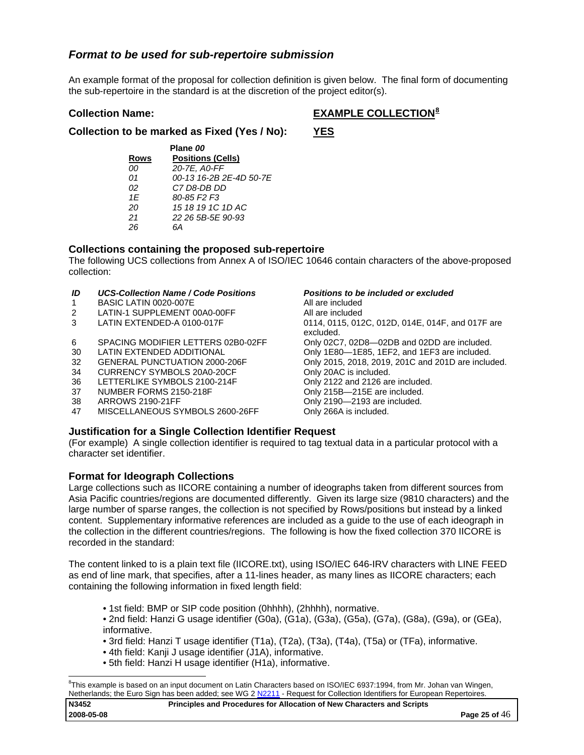## *Format to be used for sub-repertoire submission*

An example format of the proposal for collection definition is given below. The final form of documenting the sub-repertoire in the standard is at the discretion of the project editor(s).

## **Collection Name:** EXAMPLE COLLECTION<sup>[8](#page-24-0)</sup>

**Collection to be marked as Fixed (Yes / No): YES**

| Plane 00    |                                     |  |  |
|-------------|-------------------------------------|--|--|
| <b>Rows</b> | <b>Positions (Cells)</b>            |  |  |
| 00          | 20-7E, A0-FF                        |  |  |
| 01          | 00-13 16-2B 2E-4D 50-7E             |  |  |
| 02          | C7 D8-DB DD                         |  |  |
| 1F          | 80-85 F <sub>2</sub> F <sub>3</sub> |  |  |
| 20          | 15 18 19 1C 1D AC                   |  |  |
| 21          | 22 26 5B-5E 90-93                   |  |  |
| 26          | RΔ                                  |  |  |

## **Collections containing the proposed sub-repertoire**

The following UCS collections from Annex A of ISO/IEC 10646 contain characters of the above-proposed collection:

#### *ID UCS-Collection Name / Code Positions Positions to be included or excluded*

- 1 BASIC LATIN 0020-007E All are included
- 2 LATIN-1 SUPPLEMENT 00A0-00FF All are included
- 
- 6 SPACING MODIFIER LETTERS 02B0-02FF Only 02C7, 02D8—02DB and 02DD are included.
- 
- 
- 34 CURRENCY SYMBOLS 20A0-20CF Only 20AC is included.
- 36 LETTERLIKE SYMBOLS 2100-214F Only 2122 and 2126 are included.
- 
- 
- 47 MISCELLANEOUS SYMBOLS 2600-26FF Only 266A is included.

3 LATIN EXTENDED-A 0100-017F 0114, 0115, 012C, 012D, 014E, 014F, and 017F are excluded. 30 LATIN EXTENDED ADDITIONAL Only 1E80-1E85, 1EF2, and 1EF3 are included. 32 GENERAL PUNCTUATION 2000-206F Only 2015, 2018, 2019, 201C and 201D are included. 37 NUMBER FORMS 2150-218F CONSERVIEW Only 215B-215E are included. 38 ARROWS 2190-21FF Only 2190—2193 are included.

## **Justification for a Single Collection Identifier Request**

(For example) A single collection identifier is required to tag textual data in a particular protocol with a character set identifier.

## **Format for Ideograph Collections**

Large collections such as IICORE containing a number of ideographs taken from different sources from Asia Pacific countries/regions are documented differently. Given its large size (9810 characters) and the large number of sparse ranges, the collection is not specified by Rows/positions but instead by a linked content. Supplementary informative references are included as a guide to the use of each ideograph in the collection in the different countries/regions. The following is how the fixed collection 370 IICORE is recorded in the standard:

The content linked to is a plain text file (IICORE.txt), using ISO/IEC 646-IRV characters with LINE FEED as end of line mark, that specifies, after a 11-lines header, as many lines as IICORE characters; each containing the following information in fixed length field:

- 1st field: BMP or SIP code position (0hhhh), (2hhhh), normative.
- 2nd field: Hanzi G usage identifier (G0a), (G1a), (G3a), (G5a), (G7a), (G8a), (G9a), or (GEa), informative.
- 3rd field: Hanzi T usage identifier (T1a), (T2a), (T3a), (T4a), (T5a) or (TFa), informative.
- 4th field: Kanji J usage identifier (J1A), informative.
- 5th field: Hanzi H usage identifier (H1a), informative.

<span id="page-24-0"></span>l 8 This example is based on an input document on Latin Characters based on ISO/IEC 6937:1994, from Mr. Johan van Wingen, Netherlands; the Euro Sign has been added; see WG 2 N2211 - Request for Collection Identifiers for European Repertoires.

| N3452      | Principles and Procedures for Allocation of New Characters and Scripts |                 |
|------------|------------------------------------------------------------------------|-----------------|
| 2008-05-08 |                                                                        | Page 25 of $46$ |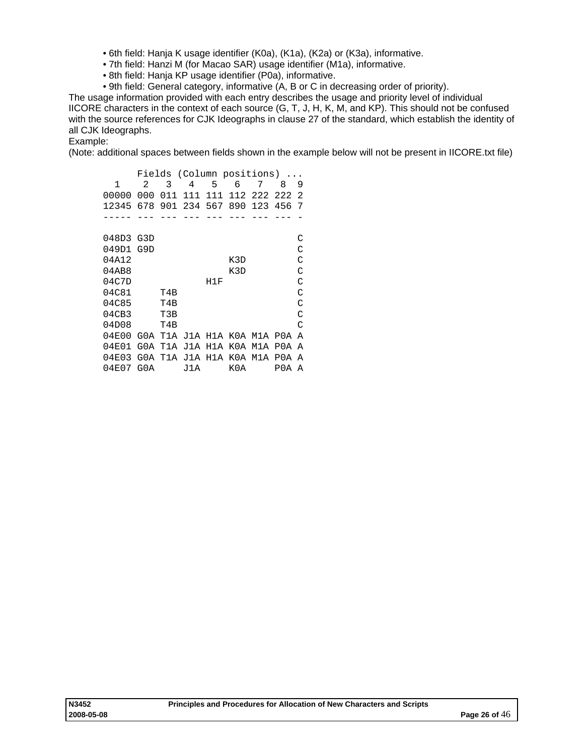- 6th field: Hanja K usage identifier (K0a), (K1a), (K2a) or (K3a), informative.
- 7th field: Hanzi M (for Macao SAR) usage identifier (M1a), informative.
- 8th field: Hanja KP usage identifier (P0a), informative.
- 9th field: General category, informative (A, B or C in decreasing order of priority).

The usage information provided with each entry describes the usage and priority level of individual IICORE characters in the context of each source (G, T, J, H, K, M, and KP). This should not be confused with the source references for CJK Ideographs in clause 27 of the standard, which establish the identity of all CJK Ideographs.

Example:

(Note: additional spaces between fields shown in the example below will not be present in IICORE.txt file)

| Fields (Column positions) |                |     |     |                     |     |                             |     |                |
|---------------------------|----------------|-----|-----|---------------------|-----|-----------------------------|-----|----------------|
| 1                         | $\mathfrak{D}$ | 3   | 4   | 5                   | 6   | 7                           | 8   | 9              |
| 00000                     | 000            | 011 | 111 | 111                 |     | 112 222 222                 |     | $\mathfrak{D}$ |
| 12345                     | 678            |     |     | 901 234 567         | 890 | 123 456                     |     | 7              |
|                           |                |     |     |                     |     |                             |     |                |
| 048D3 G3D                 |                |     |     |                     |     |                             |     | C              |
| 049D1 G9D                 |                |     |     |                     |     |                             |     | C              |
| 04A12                     |                |     |     |                     | K3D |                             |     | C              |
| 04AB8                     |                |     |     |                     | K3D |                             |     | C              |
| 04C7D                     |                |     |     | H1F                 |     |                             |     | C              |
| 04C81                     |                | T4B |     |                     |     |                             |     | C              |
| 04C85                     |                | T4B |     |                     |     |                             |     | C              |
| 04CB3                     |                | T3B |     |                     |     |                             |     | C              |
| 04D08                     |                | T4B |     |                     |     |                             |     | $\mathcal{C}$  |
| 04E00                     |                |     |     |                     |     | GOA T1A J1A H1A KOA M1A POA |     | A              |
| 04E01                     | G0A            | T1A | J1A | H1A                 | K0A | M1A                         | P0A | A              |
| 04E03                     |                |     |     | GOA T1A J1A H1A KOA |     | M1A                         | P0A | A              |
| 04E07                     | G0A            |     | J1A |                     | K0A |                             | P0A | A              |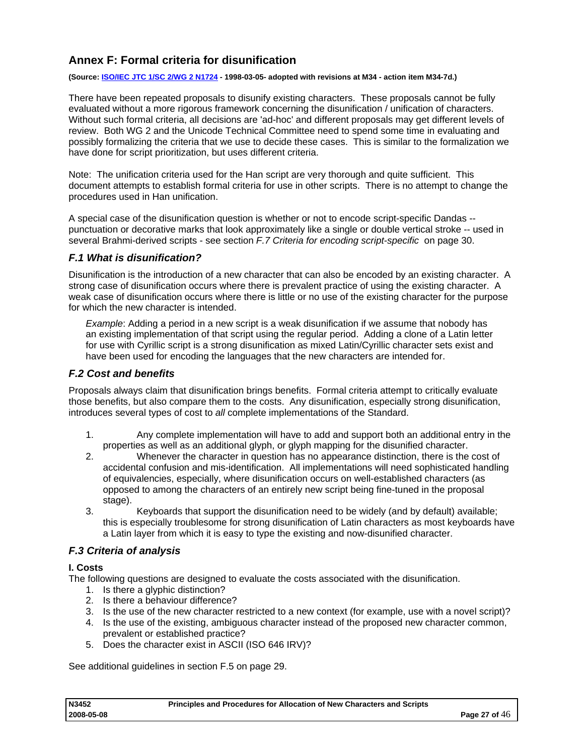## <span id="page-26-0"></span>**Annex F: Formal criteria for disunification**

#### **(Source: [ISO/IEC JTC 1/SC 2/WG 2 N1724](http://std.dkuug.dk/JTC1/SC2/WG2/docs/n1724r.pdf) - 1998-03-05- adopted with revisions at M34 - action item M34-7d.)**

There have been repeated proposals to disunify existing characters. These proposals cannot be fully evaluated without a more rigorous framework concerning the disunification / unification of characters. Without such formal criteria, all decisions are 'ad-hoc' and different proposals may get different levels of review. Both WG 2 and the Unicode Technical Committee need to spend some time in evaluating and possibly formalizing the criteria that we use to decide these cases. This is similar to the formalization we have done for script prioritization, but uses different criteria.

Note: The unification criteria used for the Han script are very thorough and quite sufficient. This document attempts to establish formal criteria for use in other scripts. There is no attempt to change the procedures used in Han unification.

A special case of the disunification question is whether or not to encode script-specific Dandas - punctuation or decorative marks that look approximately like a single or double vertical stroke -- used in several Brahmi-derived scripts - see section *[F.7 Criteria for encoding script-specific](#page-29-0)* on page [30.](#page-29-0)

## *F.1 What is disunification?*

Disunification is the introduction of a new character that can also be encoded by an existing character. A strong case of disunification occurs where there is prevalent practice of using the existing character. A weak case of disunification occurs where there is little or no use of the existing character for the purpose for which the new character is intended.

*Example*: Adding a period in a new script is a weak disunification if we assume that nobody has an existing implementation of that script using the regular period. Adding a clone of a Latin letter for use with Cyrillic script is a strong disunification as mixed Latin/Cyrillic character sets exist and have been used for encoding the languages that the new characters are intended for.

## *F.2 Cost and benefits*

Proposals always claim that disunification brings benefits. Formal criteria attempt to critically evaluate those benefits, but also compare them to the costs. Any disunification, especially strong disunification, introduces several types of cost to *all* complete implementations of the Standard.

- 1. Any complete implementation will have to add and support both an additional entry in the properties as well as an additional glyph, or glyph mapping for the disunified character.
- 2. Whenever the character in question has no appearance distinction, there is the cost of accidental confusion and mis-identification. All implementations will need sophisticated handling of equivalencies, especially, where disunification occurs on well-established characters (as opposed to among the characters of an entirely new script being fine-tuned in the proposal stage).
- 3. Keyboards that support the disunification need to be widely (and by default) available; this is especially troublesome for strong disunification of Latin characters as most keyboards have a Latin layer from which it is easy to type the existing and now-disunified character.

## *F.3 Criteria of analysis*

#### **I. Costs**

The following questions are designed to evaluate the costs associated with the disunification.

- 1. Is there a glyphic distinction?
- 2. Is there a behaviour difference?
- 3. Is the use of the new character restricted to a new context (for example, use with a novel script)?
- 4. Is the use of the existing, ambiguous character instead of the proposed new character common, prevalent or established practice?
- 5. Does the character exist in ASCII (ISO 646 IRV)?

See additional guidelines in section F.5 on page [29](#page-28-0).

| N3452      | Principles and Procedures for Allocation of New Characters and Scripts |                 |
|------------|------------------------------------------------------------------------|-----------------|
| 2008-05-08 |                                                                        | Page 27 of $46$ |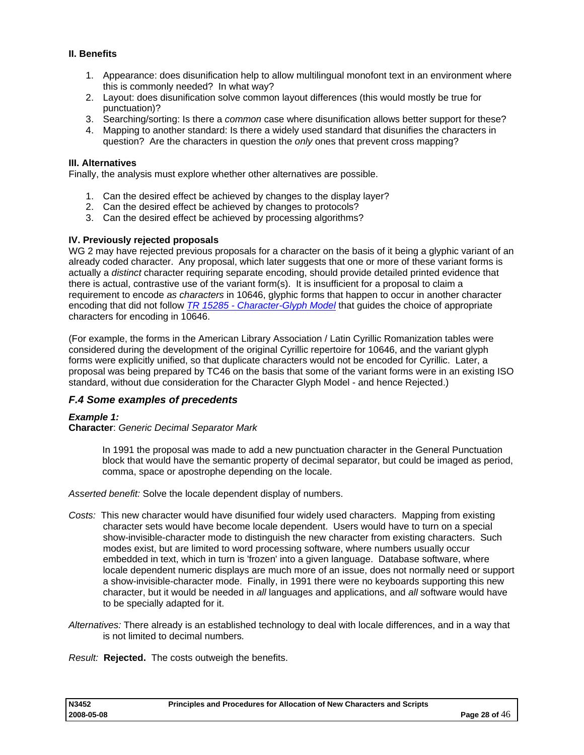## <span id="page-27-0"></span>**II. Benefits**

- 1. Appearance: does disunification help to allow multilingual monofont text in an environment where this is commonly needed? In what way?
- 2. Layout: does disunification solve common layout differences (this would mostly be true for punctuation)?
- 3. Searching/sorting: Is there a *common* case where disunification allows better support for these?
- 4. Mapping to another standard: Is there a widely used standard that disunifies the characters in question? Are the characters in question the *only* ones that prevent cross mapping?

#### **III. Alternatives**

Finally, the analysis must explore whether other alternatives are possible.

- 1. Can the desired effect be achieved by changes to the display layer?
- 2. Can the desired effect be achieved by changes to protocols?
- 3. Can the desired effect be achieved by processing algorithms?

#### **IV. Previously rejected proposals**

WG 2 may have rejected previous proposals for a character on the basis of it being a glyphic variant of an already coded character. Any proposal, which later suggests that one or more of these variant forms is actually a *distinct* character requiring separate encoding, should provide detailed printed evidence that there is actual, contrastive use of the variant form(s). It is insufficient for a proposal to claim a requirement to encode *as characters* in 10646, glyphic forms that happen to occur in another character encoding that did not follow *[TR 15285 - Character-Glyph Model](http://www.iso.ch/iso/en/ittf/PubliclyAvailableStandards/c027163_ISO_IEC_TR_15285_1998(E).zip)* that guides the choice of appropriate characters for encoding in 10646.

(For example, the forms in the American Library Association / Latin Cyrillic Romanization tables were considered during the development of the original Cyrillic repertoire for 10646, and the variant glyph forms were explicitly unified, so that duplicate characters would not be encoded for Cyrillic. Later, a proposal was being prepared by TC46 on the basis that some of the variant forms were in an existing ISO standard, without due consideration for the Character Glyph Model - and hence Rejected.)

## *F.4 Some examples of precedents*

#### *Example 1:*

#### **Character**: *Generic Decimal Separator Mark*

In 1991 the proposal was made to add a new punctuation character in the General Punctuation block that would have the semantic property of decimal separator, but could be imaged as period, comma, space or apostrophe depending on the locale.

*Asserted benefit:* Solve the locale dependent display of numbers.

- *Costs:* This new character would have disunified four widely used characters. Mapping from existing character sets would have become locale dependent. Users would have to turn on a special show-invisible-character mode to distinguish the new character from existing characters. Such modes exist, but are limited to word processing software, where numbers usually occur embedded in text, which in turn is 'frozen' into a given language. Database software, where locale dependent numeric displays are much more of an issue, does not normally need or support a show-invisible-character mode. Finally, in 1991 there were no keyboards supporting this new character, but it would be needed in *all* languages and applications, and *all* software would have to be specially adapted for it.
- *Alternatives:* There already is an established technology to deal with locale differences, and in a way that is not limited to decimal numbers*.*

*Result:* **Rejected.** The costs outweigh the benefits.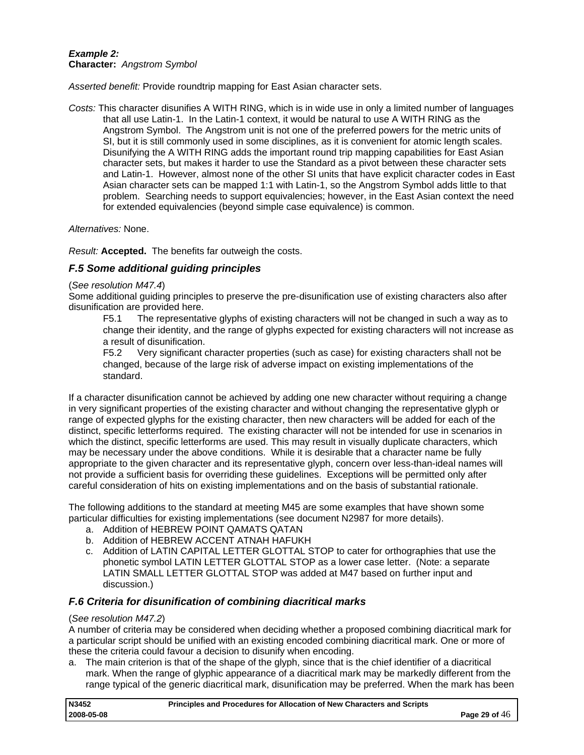## <span id="page-28-0"></span>*Example 2:*  **Character:** *Angstrom Symbol*

*Asserted benefit:* Provide roundtrip mapping for East Asian character sets.

*Costs:* This character disunifies A WITH RING, which is in wide use in only a limited number of languages that all use Latin-1. In the Latin-1 context, it would be natural to use A WITH RING as the Angstrom Symbol. The Angstrom unit is not one of the preferred powers for the metric units of SI, but it is still commonly used in some disciplines, as it is convenient for atomic length scales. Disunifying the A WITH RING adds the important round trip mapping capabilities for East Asian character sets, but makes it harder to use the Standard as a pivot between these character sets and Latin-1. However, almost none of the other SI units that have explicit character codes in East Asian character sets can be mapped 1:1 with Latin-1, so the Angstrom Symbol adds little to that problem. Searching needs to support equivalencies; however, in the East Asian context the need for extended equivalencies (beyond simple case equivalence) is common.

#### *Alternatives:* None.

*Result:* **Accepted.** The benefits far outweigh the costs.

## *F.5 Some additional guiding principles*

#### (*See resolution M47.4*)

Some additional guiding principles to preserve the pre-disunification use of existing characters also after disunification are provided here.

F5.1 The representative glyphs of existing characters will not be changed in such a way as to change their identity, and the range of glyphs expected for existing characters will not increase as a result of disunification.

F5.2 Very significant character properties (such as case) for existing characters shall not be changed, because of the large risk of adverse impact on existing implementations of the standard.

If a character disunification cannot be achieved by adding one new character without requiring a change in very significant properties of the existing character and without changing the representative glyph or range of expected glyphs for the existing character, then new characters will be added for each of the distinct, specific letterforms required. The existing character will not be intended for use in scenarios in which the distinct, specific letterforms are used. This may result in visually duplicate characters, which may be necessary under the above conditions. While it is desirable that a character name be fully appropriate to the given character and its representative glyph, concern over less-than-ideal names will not provide a sufficient basis for overriding these guidelines. Exceptions will be permitted only after careful consideration of hits on existing implementations and on the basis of substantial rationale.

The following additions to the standard at meeting M45 are some examples that have shown some particular difficulties for existing implementations (see document N2987 for more details).

- a. Addition of HEBREW POINT QAMATS QATAN
- b. Addition of HEBREW ACCENT ATNAH HAFUKH
- c. Addition of LATIN CAPITAL LETTER GLOTTAL STOP to cater for orthographies that use the phonetic symbol LATIN LETTER GLOTTAL STOP as a lower case letter. (Note: a separate LATIN SMALL LETTER GLOTTAL STOP was added at M47 based on further input and discussion.)

## *F.6 Criteria for disunification of combining diacritical marks*

#### (*See resolution M47.2*)

A number of criteria may be considered when deciding whether a proposed combining diacritical mark for a particular script should be unified with an existing encoded combining diacritical mark. One or more of these the criteria could favour a decision to disunify when encoding.

a. The main criterion is that of the shape of the glyph, since that is the chief identifier of a diacritical mark. When the range of glyphic appearance of a diacritical mark may be markedly different from the range typical of the generic diacritical mark, disunification may be preferred. When the mark has been

| N3452      | Principles and Procedures for Allocation of New Characters and Scripts |                 |
|------------|------------------------------------------------------------------------|-----------------|
| 2008-05-08 |                                                                        | Page 29 of $46$ |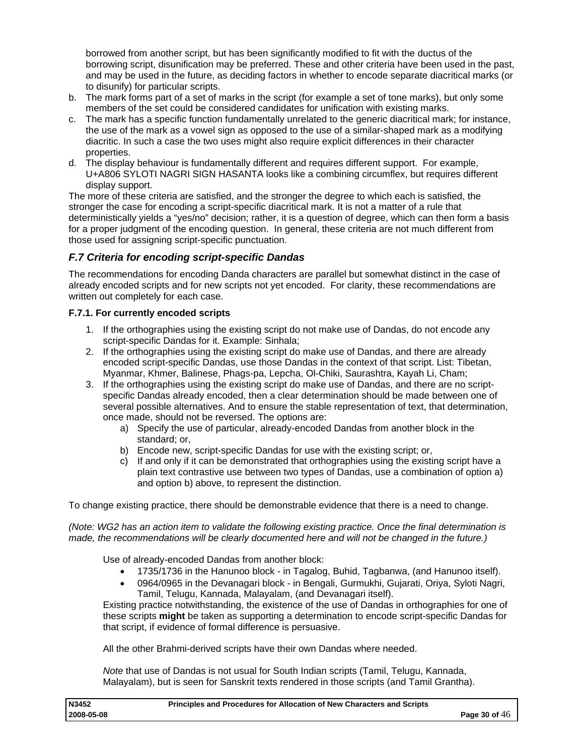<span id="page-29-0"></span>borrowed from another script, but has been significantly modified to fit with the ductus of the borrowing script, disunification may be preferred. These and other criteria have been used in the past, and may be used in the future, as deciding factors in whether to encode separate diacritical marks (or to disunify) for particular scripts.

- b. The mark forms part of a set of marks in the script (for example a set of tone marks), but only some members of the set could be considered candidates for unification with existing marks.
- c. The mark has a specific function fundamentally unrelated to the generic diacritical mark; for instance, the use of the mark as a vowel sign as opposed to the use of a similar-shaped mark as a modifying diacritic. In such a case the two uses might also require explicit differences in their character properties.
- d. The display behaviour is fundamentally different and requires different support. For example, U+A806 SYLOTI NAGRI SIGN HASANTA looks like a combining circumflex, but requires different display support.

The more of these criteria are satisfied, and the stronger the degree to which each is satisfied, the stronger the case for encoding a script-specific diacritical mark. It is not a matter of a rule that deterministically yields a "yes/no" decision; rather, it is a question of degree, which can then form a basis for a proper judgment of the encoding question. In general, these criteria are not much different from those used for assigning script-specific punctuation.

## *F.7 Criteria for encoding script-specific Dandas*

The recommendations for encoding Danda characters are parallel but somewhat distinct in the case of already encoded scripts and for new scripts not yet encoded. For clarity, these recommendations are written out completely for each case.

## **F.7.1. For currently encoded scripts**

- 1. If the orthographies using the existing script do not make use of Dandas, do not encode any script-specific Dandas for it. Example: Sinhala;
- 2. If the orthographies using the existing script do make use of Dandas, and there are already encoded script-specific Dandas, use those Dandas in the context of that script. List: Tibetan, Myanmar, Khmer, Balinese, Phags-pa, Lepcha, Ol-Chiki, Saurashtra, Kayah Li, Cham;
- 3. If the orthographies using the existing script do make use of Dandas, and there are no scriptspecific Dandas already encoded, then a clear determination should be made between one of several possible alternatives. And to ensure the stable representation of text, that determination, once made, should not be reversed. The options are:
	- a) Specify the use of particular, already-encoded Dandas from another block in the standard; or,
	- b) Encode new, script-specific Dandas for use with the existing script; or,
	- c) If and only if it can be demonstrated that orthographies using the existing script have a plain text contrastive use between two types of Dandas, use a combination of option a) and option b) above, to represent the distinction.

To change existing practice, there should be demonstrable evidence that there is a need to change.

*(Note: WG2 has an action item to validate the following existing practice. Once the final determination is made, the recommendations will be clearly documented here and will not be changed in the future.)* 

Use of already-encoded Dandas from another block:

- 1735/1736 in the Hanunoo block in Tagalog, Buhid, Tagbanwa, (and Hanunoo itself).
- 0964/0965 in the Devanagari block in Bengali, Gurmukhi, Gujarati, Oriya, Syloti Nagri, Tamil, Telugu, Kannada, Malayalam, (and Devanagari itself).

Existing practice notwithstanding, the existence of the use of Dandas in orthographies for one of these scripts **might** be taken as supporting a determination to encode script-specific Dandas for that script, if evidence of formal difference is persuasive.

All the other Brahmi-derived scripts have their own Dandas where needed.

*Note* that use of Dandas is not usual for South Indian scripts (Tamil, Telugu, Kannada, Malayalam), but is seen for Sanskrit texts rendered in those scripts (and Tamil Grantha).

| N3452      | Principles and Procedures for Allocation of New Characters and Scripts |                 |
|------------|------------------------------------------------------------------------|-----------------|
| 2008-05-08 |                                                                        | Page 30 of $46$ |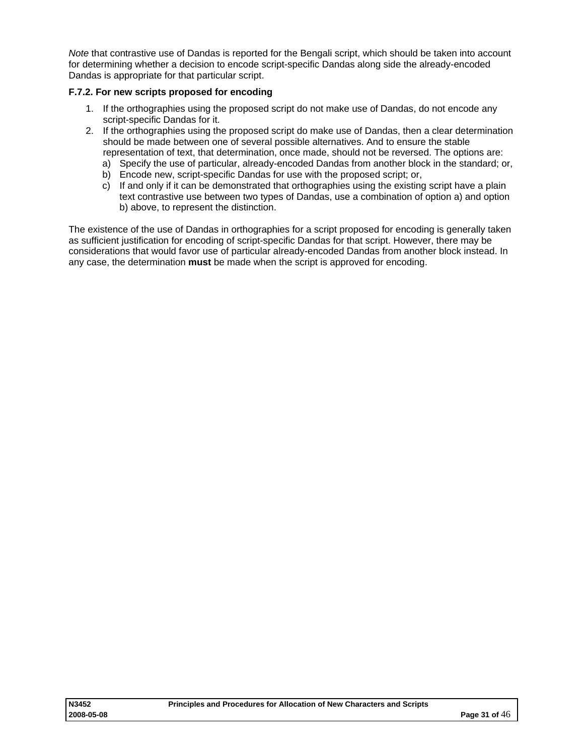<span id="page-30-0"></span>*Note* that contrastive use of Dandas is reported for the Bengali script, which should be taken into account for determining whether a decision to encode script-specific Dandas along side the already-encoded Dandas is appropriate for that particular script.

## **F.7.2. For new scripts proposed for encoding**

- 1. If the orthographies using the proposed script do not make use of Dandas, do not encode any script-specific Dandas for it.
- 2. If the orthographies using the proposed script do make use of Dandas, then a clear determination should be made between one of several possible alternatives. And to ensure the stable representation of text, that determination, once made, should not be reversed. The options are:
	- a) Specify the use of particular, already-encoded Dandas from another block in the standard; or,
	- b) Encode new, script-specific Dandas for use with the proposed script; or,
	- c) If and only if it can be demonstrated that orthographies using the existing script have a plain text contrastive use between two types of Dandas, use a combination of option a) and option b) above, to represent the distinction.

The existence of the use of Dandas in orthographies for a script proposed for encoding is generally taken as sufficient justification for encoding of script-specific Dandas for that script. However, there may be considerations that would favor use of particular already-encoded Dandas from another block instead. In any case, the determination **must** be made when the script is approved for encoding.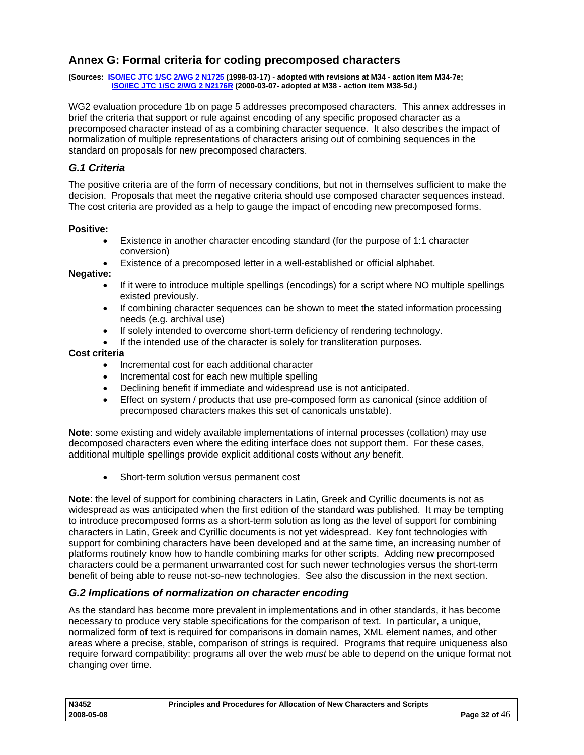## <span id="page-31-0"></span>**Annex G: Formal criteria for coding precomposed characters**

**(Sources: [ISO/IEC JTC 1/SC 2/WG 2 N1725](http://std.dkuug.dk/JTC1/SC2/WG2/docs/n1725.doc) (1998-03-17) - adopted with revisions at M34 - action item M34-7e; [ISO/IEC JTC 1/SC 2/WG 2 N2176R](http://std.dkuug.dk/JTC1/SC2/WG2/docs/n2176R.pdf) (2000-03-07- adopted at M38 - action item M38-5d.)**

WG2 evaluation procedure 1b on page [5](#page-4-0) addresses precomposed characters. This annex addresses in brief the criteria that support or rule against encoding of any specific proposed character as a precomposed character instead of as a combining character sequence. It also describes the impact of normalization of multiple representations of characters arising out of combining sequences in the standard on proposals for new precomposed characters.

## *G.1 Criteria*

The positive criteria are of the form of necessary conditions, but not in themselves sufficient to make the decision. Proposals that meet the negative criteria should use composed character sequences instead. The cost criteria are provided as a help to gauge the impact of encoding new precomposed forms.

#### **Positive:**

- Existence in another character encoding standard (for the purpose of 1:1 character conversion)
- Existence of a precomposed letter in a well-established or official alphabet.

#### **Negative:**

- If it were to introduce multiple spellings (encodings) for a script where NO multiple spellings existed previously.
- If combining character sequences can be shown to meet the stated information processing needs (e.g. archival use)
- If solely intended to overcome short-term deficiency of rendering technology.
- If the intended use of the character is solely for transliteration purposes.

#### **Cost criteria**

- Incremental cost for each additional character
- Incremental cost for each new multiple spelling
- Declining benefit if immediate and widespread use is not anticipated.
- Effect on system / products that use pre-composed form as canonical (since addition of precomposed characters makes this set of canonicals unstable).

**Note**: some existing and widely available implementations of internal processes (collation) may use decomposed characters even where the editing interface does not support them. For these cases, additional multiple spellings provide explicit additional costs without *any* benefit.

• Short-term solution versus permanent cost

**Note**: the level of support for combining characters in Latin, Greek and Cyrillic documents is not as widespread as was anticipated when the first edition of the standard was published. It may be tempting to introduce precomposed forms as a short-term solution as long as the level of support for combining characters in Latin, Greek and Cyrillic documents is not yet widespread. Key font technologies with support for combining characters have been developed and at the same time, an increasing number of platforms routinely know how to handle combining marks for other scripts. Adding new precomposed characters could be a permanent unwarranted cost for such newer technologies versus the short-term benefit of being able to reuse not-so-new technologies. See also the discussion in the next section.

## *G.2 Implications of normalization on character encoding*

As the standard has become more prevalent in implementations and in other standards, it has become necessary to produce very stable specifications for the comparison of text. In particular, a unique, normalized form of text is required for comparisons in domain names, XML element names, and other areas where a precise, stable, comparison of strings is required. Programs that require uniqueness also require forward compatibility: programs all over the web *must* be able to depend on the unique format not changing over time.

| N3452      | Principles and Procedures for Allocation of New Characters and Scripts |                 |
|------------|------------------------------------------------------------------------|-----------------|
| 2008-05-08 |                                                                        | Page 32 of $46$ |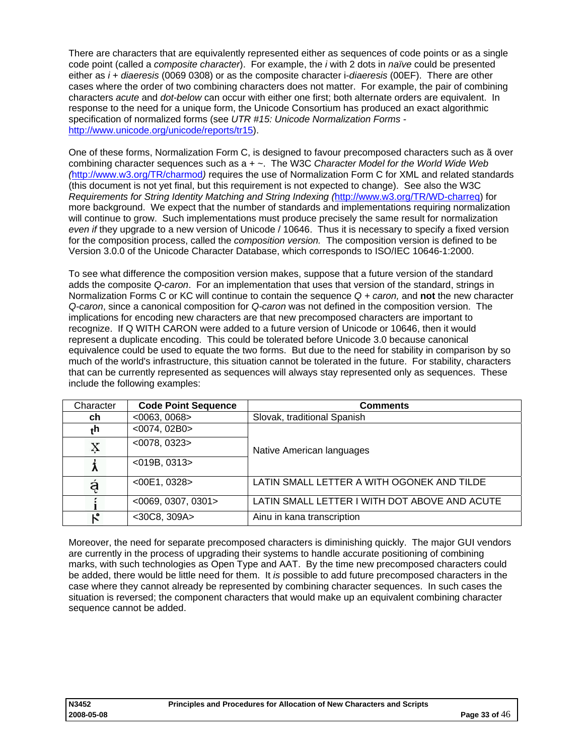There are characters that are equivalently represented either as sequences of code points or as a single code point (called a *composite character*). For example, the *i* with 2 dots in *naïve* could be presented either as *i* + *diaeresis* (0069 0308) or as the composite character i-*diaeresis* (00EF). There are other cases where the order of two combining characters does not matter. For example, the pair of combining characters *acute* and *dot-below* can occur with either one first; both alternate orders are equivalent. In response to the need for a unique form, the Unicode Consortium has produced an exact algorithmic specification of normalized forms (see *UTR #15: Unicode Normalization Forms*  [http://www.unicode.org/unicode/reports/tr15\)](http://www.unicode.org/unicode/reports/tr15).

One of these forms, Normalization Form C, is designed to favour precomposed characters such as ã over combining character sequences such as a + ~. The W3C *Character Model for the World Wide Web (*<http://www.w3.org/TR/charmod>*)* requires the use of Normalization Form C for XML and related standards (this document is not yet final, but this requirement is not expected to change). See also the W3C *Requirements for String Identity Matching and String Indexing (*[http://www.w3.org/TR/WD-charreq](http://www.w3c.org/TR/WD-charreq)) for more background. We expect that the number of standards and implementations requiring normalization will continue to grow. Such implementations must produce precisely the same result for normalization *even if* they upgrade to a new version of Unicode / 10646. Thus it is necessary to specify a fixed version for the composition process, called the *composition version.* The composition version is defined to be Version 3.0.0 of the Unicode Character Database, which corresponds to ISO/IEC 10646-1:2000.

To see what difference the composition version makes, suppose that a future version of the standard adds the composite *Q-caron*. For an implementation that uses that version of the standard, strings in Normalization Forms C or KC will continue to contain the sequence *Q + caron,* and **not** the new character *Q-caron*, since a canonical composition for *Q-caron* was not defined in the composition version. The implications for encoding new characters are that new precomposed characters are important to recognize. If Q WITH CARON were added to a future version of Unicode or 10646, then it would represent a duplicate encoding. This could be tolerated before Unicode 3.0 because canonical equivalence could be used to equate the two forms. But due to the need for stability in comparison by so much of the world's infrastructure, this situation cannot be tolerated in the future. For stability, characters that can be currently represented as sequences will always stay represented only as sequences. These include the following examples:

| Character | <b>Code Point Sequence</b> | <b>Comments</b>                               |  |
|-----------|----------------------------|-----------------------------------------------|--|
| ch        | $<$ 0063, 0068>            | Slovak, traditional Spanish                   |  |
| ٠h        | $<$ 0074, 02B0 $>$         |                                               |  |
| Ķ         | $<$ 0078, 0323>            | Native American languages                     |  |
|           | $<$ 019B, 0313>            |                                               |  |
| ą         | $<$ 00E1, 0328 >           | LATIN SMALL LETTER A WITH OGONEK AND TILDE    |  |
|           | $<$ 0069, 0307, 0301>      | LATIN SMALL LETTER I WITH DOT ABOVE AND ACUTE |  |
|           | $<$ 30C8, 309A $>$         | Ainu in kana transcription                    |  |

Moreover, the need for separate precomposed characters is diminishing quickly. The major GUI vendors are currently in the process of upgrading their systems to handle accurate positioning of combining marks, with such technologies as Open Type and AAT. By the time new precomposed characters could be added, there would be little need for them. It *is* possible to add future precomposed characters in the case where they cannot already be represented by combining character sequences. In such cases the situation is reversed; the component characters that would make up an equivalent combining character sequence cannot be added.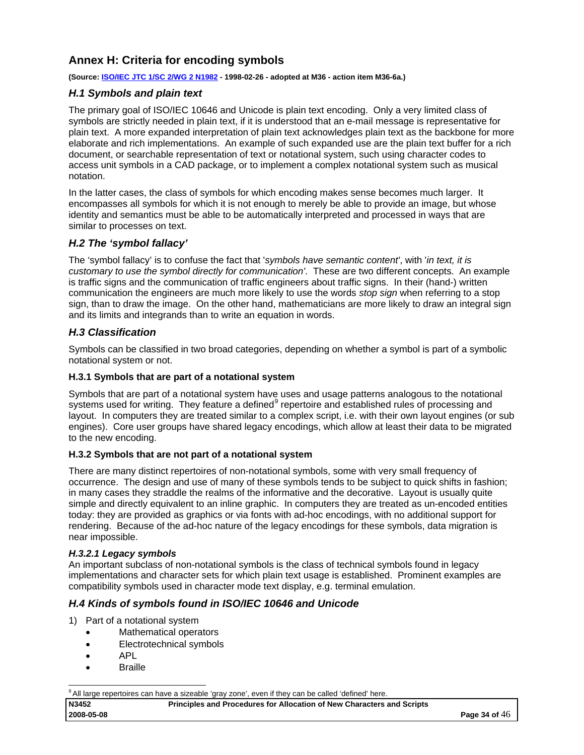## <span id="page-33-0"></span>**Annex H: Criteria for encoding symbols**

#### **(Source: [ISO/IEC JTC 1/SC 2/WG 2 N1982](http://std.dkuug.dk/JTC1/SC2/WG2/docs/n1982.doc) - 1998-02-26 - adopted at M36 - action item M36-6a.)**

## *H.1 Symbols and plain text*

The primary goal of ISO/IEC 10646 and Unicode is plain text encoding. Only a very limited class of symbols are strictly needed in plain text, if it is understood that an e-mail message is representative for plain text. A more expanded interpretation of plain text acknowledges plain text as the backbone for more elaborate and rich implementations. An example of such expanded use are the plain text buffer for a rich document, or searchable representation of text or notational system, such using character codes to access unit symbols in a CAD package, or to implement a complex notational system such as musical notation.

In the latter cases, the class of symbols for which encoding makes sense becomes much larger. It encompasses all symbols for which it is not enough to merely be able to provide an image, but whose identity and semantics must be able to be automatically interpreted and processed in ways that are similar to processes on text.

## *H.2 The 'symbol fallacy'*

The 'symbol fallacy' is to confuse the fact that '*symbols have semantic content'*, with '*in text, it is customary to use the symbol directly for communication'*. These are two different concepts. An example is traffic signs and the communication of traffic engineers about traffic signs. In their (hand-) written communication the engineers are much more likely to use the words *stop sign* when referring to a stop sign, than to draw the image. On the other hand, mathematicians are more likely to draw an integral sign and its limits and integrands than to write an equation in words.

## *H.3 Classification*

Symbols can be classified in two broad categories, depending on whether a symbol is part of a symbolic notational system or not.

#### **H.3.1 Symbols that are part of a notational system**

Symbols that are part of a notational system have uses and usage patterns analogous to the notational systems used for writing. They feature a defined<sup>[9](#page-33-1)</sup> repertoire and established rules of processing and layout. In computers they are treated similar to a complex script, i.e. with their own layout engines (or sub engines). Core user groups have shared legacy encodings, which allow at least their data to be migrated to the new encoding.

#### **H.3.2 Symbols that are not part of a notational system**

There are many distinct repertoires of non-notational symbols, some with very small frequency of occurrence. The design and use of many of these symbols tends to be subject to quick shifts in fashion; in many cases they straddle the realms of the informative and the decorative. Layout is usually quite simple and directly equivalent to an inline graphic. In computers they are treated as un-encoded entities today: they are provided as graphics or via fonts with ad-hoc encodings, with no additional support for rendering. Because of the ad-hoc nature of the legacy encodings for these symbols, data migration is near impossible.

#### *H.3.2.1 Legacy symbols*

An important subclass of non-notational symbols is the class of technical symbols found in legacy implementations and character sets for which plain text usage is established. Prominent examples are compatibility symbols used in character mode text display, e.g. terminal emulation.

## *H.4 Kinds of symbols found in ISO/IEC 10646 and Unicode*

- 1) Part of a notational system
	- Mathematical operators
	- Electrotechnical symbols
	- APL
	- **Braille**

<span id="page-33-1"></span>-<sup>9</sup> All large repertoires can have a sizeable 'gray zone', even if they can be called 'defined' here.

**N3452 Principles and Procedures for Allocation of New Characters and Scripts**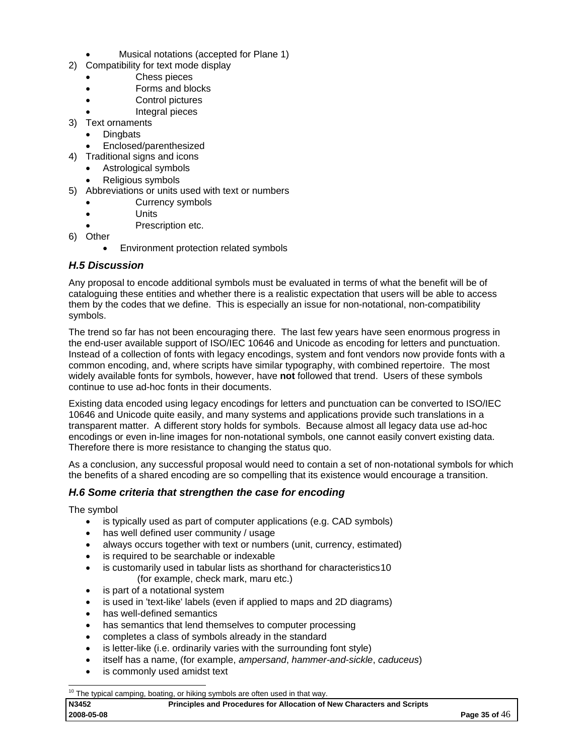- Musical notations (accepted for Plane 1)
- <span id="page-34-0"></span>2) Compatibility for text mode display
	- Chess pieces
	- Forms and blocks
	- Control pictures
	- Integral pieces
- 3) Text ornaments
	- **Dingbats**
	- Enclosed/parenthesized
- 4) Traditional signs and icons
	- Astrological symbols
	- Religious symbols
- 5) Abbreviations or units used with text or numbers
	- Currency symbols
	- Units
	- Prescription etc.
- 6) Other
	- Environment protection related symbols

## *H.5 Discussion*

Any proposal to encode additional symbols must be evaluated in terms of what the benefit will be of cataloguing these entities and whether there is a realistic expectation that users will be able to access them by the codes that we define. This is especially an issue for non-notational, non-compatibility symbols.

The trend so far has not been encouraging there. The last few years have seen enormous progress in the end-user available support of ISO/IEC 10646 and Unicode as encoding for letters and punctuation. Instead of a collection of fonts with legacy encodings, system and font vendors now provide fonts with a common encoding, and, where scripts have similar typography, with combined repertoire. The most widely available fonts for symbols, however, have **not** followed that trend. Users of these symbols continue to use ad-hoc fonts in their documents.

Existing data encoded using legacy encodings for letters and punctuation can be converted to ISO/IEC 10646 and Unicode quite easily, and many systems and applications provide such translations in a transparent matter. A different story holds for symbols. Because almost all legacy data use ad-hoc encodings or even in-line images for non-notational symbols, one cannot easily convert existing data. Therefore there is more resistance to changing the status quo.

As a conclusion, any successful proposal would need to contain a set of non-notational symbols for which the benefits of a shared encoding are so compelling that its existence would encourage a transition.

## *H.6 Some criteria that strengthen the case for encoding*

The symbol

- is typically used as part of computer applications (e.g. CAD symbols)
- has well defined user community / usage
- always occurs together with text or numbers (unit, currency, estimated)
- is required to be searchable or indexable
- is customarily used in tabular lists as shorthand for characteristics[10](#page-34-1)
- (for example, check mark, maru etc.)
- is part of a notational system
- is used in 'text-like' labels (even if applied to maps and 2D diagrams)
- has well-defined semantics
- has semantics that lend themselves to computer processing
- completes a class of symbols already in the standard
- is letter-like (i.e. ordinarily varies with the surrounding font style)
- itself has a name, (for example, *ampersand*, *hammer-and-sickle*, *caduceus*)
- is commonly used amidst text

<span id="page-34-1"></span>**N3452 Principles and Procedures for Allocation of New Characters and Scripts 2008-05-08 Page 35 of** 46

<sup>-</sup> $10$  The typical camping, boating, or hiking symbols are often used in that way.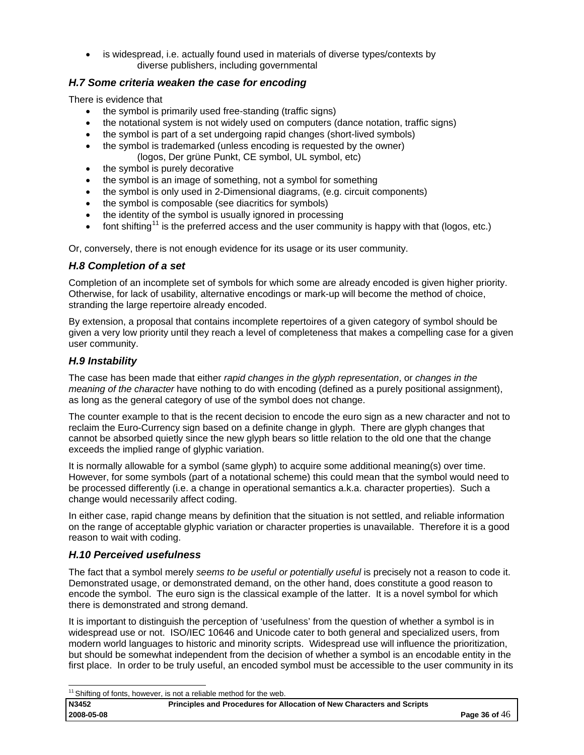<span id="page-35-0"></span>• is widespread, i.e. actually found used in materials of diverse types/contexts by diverse publishers, including governmental

## *H.7 Some criteria weaken the case for encoding*

There is evidence that

- the symbol is primarily used free-standing (traffic signs)
- the notational system is not widely used on computers (dance notation, traffic signs)
- the symbol is part of a set undergoing rapid changes (short-lived symbols)
- the symbol is trademarked (unless encoding is requested by the owner)
- (logos, Der grüne Punkt, CE symbol, UL symbol, etc)
- the symbol is purely decorative
- the symbol is an image of something, not a symbol for something
- the symbol is only used in 2-Dimensional diagrams, (e.g. circuit components)
- the symbol is composable (see diacritics for symbols)
- the identity of the symbol is usually ignored in processing
- font shifting<sup>[1](#page-35-1)1</sup> is the preferred access and the user community is happy with that (logos, etc.)

Or, conversely, there is not enough evidence for its usage or its user community.

## *H.8 Completion of a set*

Completion of an incomplete set of symbols for which some are already encoded is given higher priority. Otherwise, for lack of usability, alternative encodings or mark-up will become the method of choice, stranding the large repertoire already encoded.

By extension, a proposal that contains incomplete repertoires of a given category of symbol should be given a very low priority until they reach a level of completeness that makes a compelling case for a given user community.

## *H.9 Instability*

The case has been made that either *rapid changes in the glyph representation*, or *changes in the meaning of the character* have nothing to do with encoding (defined as a purely positional assignment), as long as the general category of use of the symbol does not change.

The counter example to that is the recent decision to encode the euro sign as a new character and not to reclaim the Euro-Currency sign based on a definite change in glyph. There are glyph changes that cannot be absorbed quietly since the new glyph bears so little relation to the old one that the change exceeds the implied range of glyphic variation.

It is normally allowable for a symbol (same glyph) to acquire some additional meaning(s) over time. However, for some symbols (part of a notational scheme) this could mean that the symbol would need to be processed differently (i.e. a change in operational semantics a.k.a. character properties). Such a change would necessarily affect coding.

In either case, rapid change means by definition that the situation is not settled, and reliable information on the range of acceptable glyphic variation or character properties is unavailable. Therefore it is a good reason to wait with coding.

## *H.10 Perceived usefulness*

The fact that a symbol merely *seems to be useful or potentially useful* is precisely not a reason to code it. Demonstrated usage, or demonstrated demand, on the other hand, does constitute a good reason to encode the symbol. The euro sign is the classical example of the latter. It is a novel symbol for which there is demonstrated and strong demand.

It is important to distinguish the perception of 'usefulness' from the question of whether a symbol is in widespread use or not. ISO/IEC 10646 and Unicode cater to both general and specialized users, from modern world languages to historic and minority scripts. Widespread use will influence the prioritization, but should be somewhat independent from the decision of whether a symbol is an encodable entity in the first place. In order to be truly useful, an encoded symbol must be accessible to the user community in its

**N3452 Principles and Procedures for Allocation of New Characters and Scripts 2008-05-08 Page 36 of** 46

<span id="page-35-1"></span><sup>-</sup> $11$  Shifting of fonts, however, is not a reliable method for the web.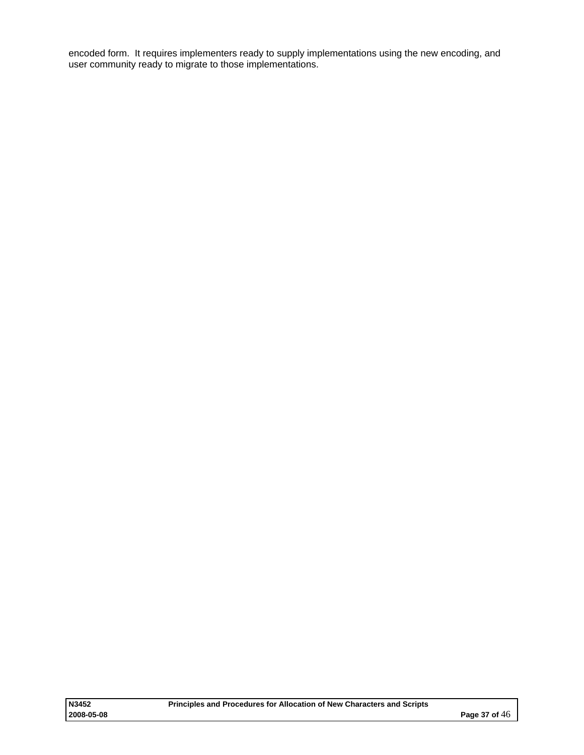encoded form. It requires implementers ready to supply implementations using the new encoding, and user community ready to migrate to those implementations.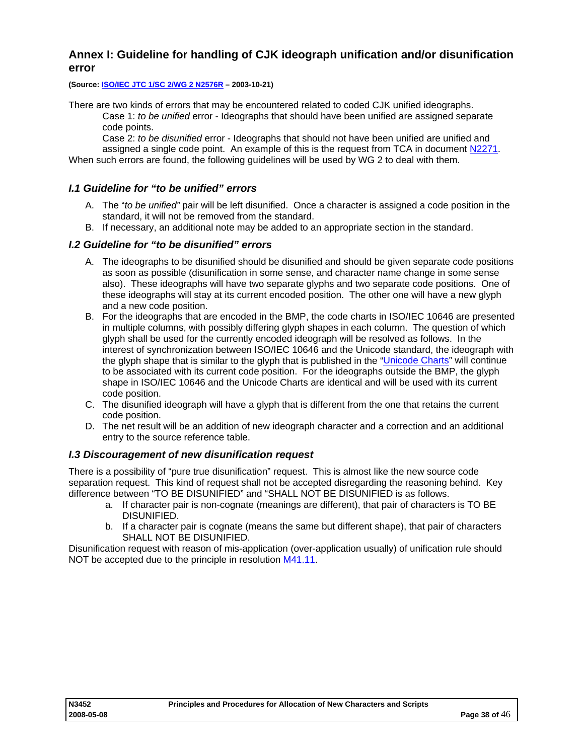## <span id="page-37-0"></span>**Annex I: Guideline for handling of CJK ideograph unification and/or disunification error**

**(Source: [ISO/IEC JTC 1/SC 2/WG 2 N2576R](http://std.dkuug.dk/JTC1/SC2/WG2/docs/n2576R.pdf) – 2003-10-21)** 

There are two kinds of errors that may be encountered related to coded CJK unified ideographs.

Case 1: *to be unified* error - Ideographs that should have been unified are assigned separate code points.

Case 2: *to be disunified* error - Ideographs that should not have been unified are unified and assigned a single code point. An example of this is the request from TCA in document [N2271](http://std.dkuug.dk/jtc1/sc2/wg2/docs/n2271.pdf). When such errors are found, the following guidelines will be used by WG 2 to deal with them.

# *I.1 Guideline for "to be unified" errors*

- A. The "*to be unified"* pair will be left disunified. Once a character is assigned a code position in the standard, it will not be removed from the standard.
- B. If necessary, an additional note may be added to an appropriate section in the standard.

## *I.2 Guideline for "to be disunified" errors*

- A. The ideographs to be disunified should be disunified and should be given separate code positions as soon as possible (disunification in some sense, and character name change in some sense also). These ideographs will have two separate glyphs and two separate code positions. One of these ideographs will stay at its current encoded position. The other one will have a new glyph and a new code position.
- B. For the ideographs that are encoded in the BMP, the code charts in ISO/IEC 10646 are presented in multiple columns, with possibly differing glyph shapes in each column. The question of which glyph shall be used for the currently encoded ideograph will be resolved as follows. In the interest of synchronization between ISO/IEC 10646 and the Unicode standard, the ideograph with the glyph shape that is similar to the glyph that is published in the "[Unicode Charts"](http://www.unicode.org/charts/) will continue to be associated with its current code position. For the ideographs outside the BMP, the glyph shape in ISO/IEC 10646 and the Unicode Charts are identical and will be used with its current code position.
- C. The disunified ideograph will have a glyph that is different from the one that retains the current code position.
- D. The net result will be an addition of new ideograph character and a correction and an additional entry to the source reference table.

## *I.3 Discouragement of new disunification request*

There is a possibility of "pure true disunification" request. This is almost like the new source code separation request. This kind of request shall not be accepted disregarding the reasoning behind. Key difference between "TO BE DISUNIFIED" and "SHALL NOT BE DISUNIFIED is as follows.

- a. If character pair is non-cognate (meanings are different), that pair of characters is TO BE DISUNIFIED.
- b. If a character pair is cognate (means the same but different shape), that pair of characters SHALL NOT BE DISUNIFIED.

Disunification request with reason of mis-application (over-application usually) of unification rule should NOT be accepted due to the principle in resolution [M41.11](http://std.dkuug.dk/jtc1/sc2/wg2/docs/n2404r.doc).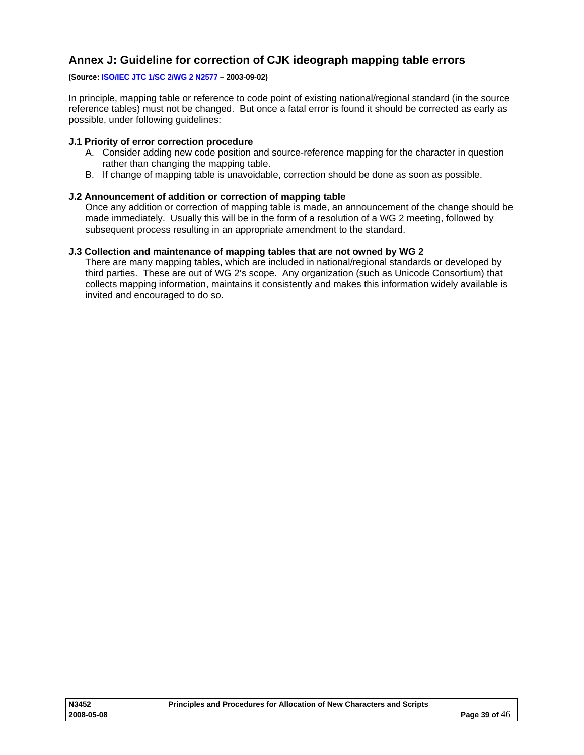## <span id="page-38-0"></span>**Annex J: Guideline for correction of CJK ideograph mapping table errors**

#### **(Source: [ISO/IEC JTC 1/SC 2/WG 2 N2577](http://std.dkuug.dk/JTC1/SC2/WG2/docs/N2577.pdf) – 2003-09-02)**

In principle, mapping table or reference to code point of existing national/regional standard (in the source reference tables) must not be changed. But once a fatal error is found it should be corrected as early as possible, under following guidelines:

#### **J.1 Priority of error correction procedure**

- A. Consider adding new code position and source-reference mapping for the character in question rather than changing the mapping table.
- B. If change of mapping table is unavoidable, correction should be done as soon as possible.

#### **J.2 Announcement of addition or correction of mapping table**

Once any addition or correction of mapping table is made, an announcement of the change should be made immediately. Usually this will be in the form of a resolution of a WG 2 meeting, followed by subsequent process resulting in an appropriate amendment to the standard.

#### **J.3 Collection and maintenance of mapping tables that are not owned by WG 2**

There are many mapping tables, which are included in national/regional standards or developed by third parties. These are out of WG 2's scope. Any organization (such as Unicode Consortium) that collects mapping information, maintains it consistently and makes this information widely available is invited and encouraged to do so.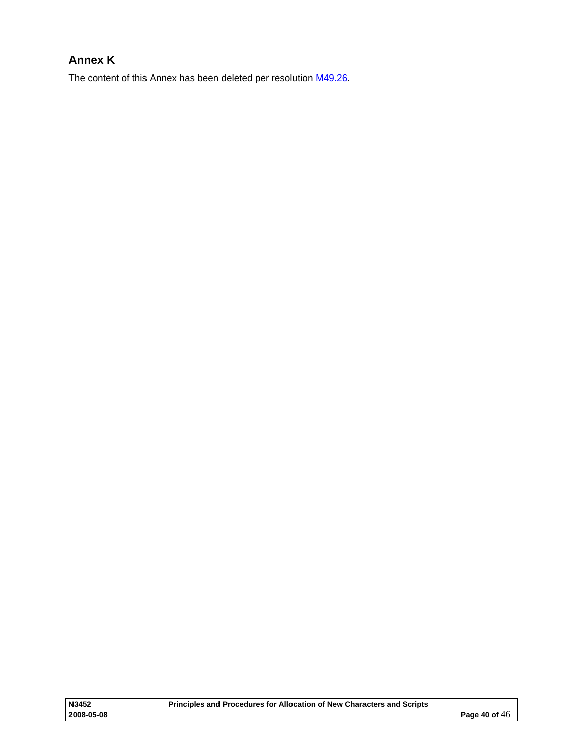# <span id="page-39-0"></span>**Annex K**

The content of this Annex has been deleted per resolution [M49.26](http://std.dkuug.dk/jtc1/sc2/wg2/docs/n3154.pdf).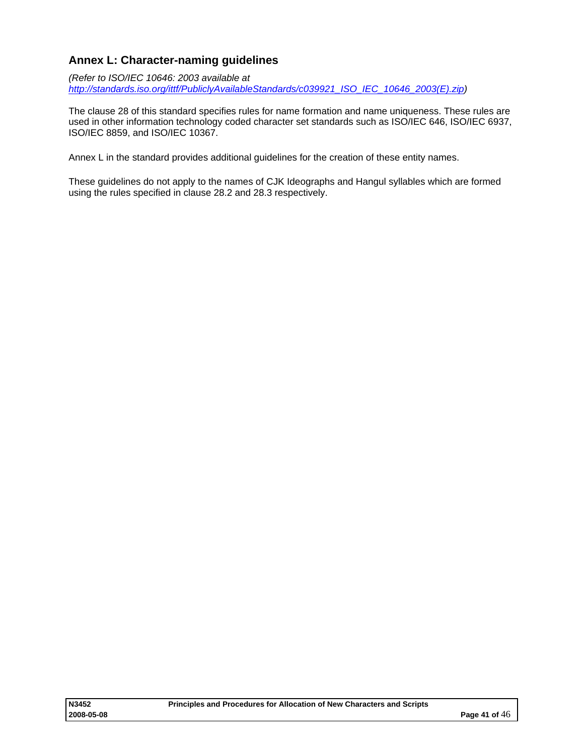## <span id="page-40-0"></span>**Annex L: Character-naming guidelines**

*(Refer to ISO/IEC 10646: 2003 available at [http://standards.iso.org/ittf/PubliclyAvailableStandards/c039921\\_ISO\\_IEC\\_10646\\_2003\(E\).zip\)](http://standards.iso.org/ittf/PubliclyAvailableStandards/c039921_ISO_IEC_10646_2003(E).zip)* 

The clause 28 of this standard specifies rules for name formation and name uniqueness. These rules are used in other information technology coded character set standards such as ISO/IEC 646, ISO/IEC 6937, ISO/IEC 8859, and ISO/IEC 10367.

Annex L in the standard provides additional guidelines for the creation of these entity names.

These guidelines do not apply to the names of CJK Ideographs and Hangul syllables which are formed using the rules specified in clause 28.2 and 28.3 respectively.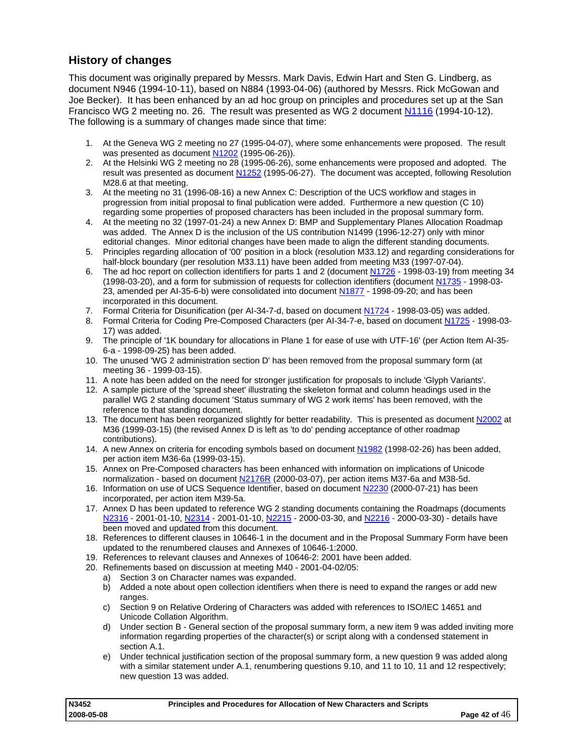## <span id="page-41-0"></span>**History of changes**

This document was originally prepared by Messrs. Mark Davis, Edwin Hart and Sten G. Lindberg, as document N946 (1994-10-11), based on N884 (1993-04-06) (authored by Messrs. Rick McGowan and Joe Becker). It has been enhanced by an ad hoc group on principles and procedures set up at the San Francisco WG 2 meeting no. 26. The result was presented as WG 2 document [N1116](http://anubis.dkuug.dk/jtc1/sc2/wg2/docs/n1116.html) (1994-10-12). The following is a summary of changes made since that time:

- 1. At the Geneva WG 2 meeting no 27 (1995-04-07), where some enhancements were proposed. The result was presented as document [N1202](http://www.dkuug.dk/jtc1/sc2/wg2/docs/n1202.doc) (1995-06-26)).
- 2. At the Helsinki WG 2 meeting no 28 (1995-06-26), some enhancements were proposed and adopted. The result was presented as document [N1252](http://anubis.dkuug.dk/jtc1/sc2/wg2/docs/n1252.doc) (1995-06-27). The document was accepted, following Resolution M28.6 at that meeting.
- 3. At the meeting no 31 (1996-08-16) a new Annex C: Description of the UCS workflow and stages in progression from initial proposal to final publication were added. Furthermore a new question (C 10) regarding some properties of proposed characters has been included in the proposal summary form.
- 4. At the meeting no 32 (1997-01-24) a new Annex D: BMP and Supplementary Planes Allocation Roadmap was added. The Annex D is the inclusion of the US contribution N1499 (1996-12-27) only with minor editorial changes. Minor editorial changes have been made to align the different standing documents.
- 5. Principles regarding allocation of '00' position in a block (resolution M33.12) and regarding considerations for half-block boundary (per resolution M33.11) have been added from meeting M33 (1997-07-04).
- 6. The ad hoc report on collection identifiers for parts 1 and 2 (document [N1726](http://anubis.dkuug.dk/jtc1/sc2/wg2/docs/n1726.doc)  1998-03-19) from meeting 34 (1998-03-20), and a form for submission of requests for collection identifiers (document [N1735](http://anubis.dkuug.dk/jtc1/sc2/wg2/docs/n1735.doc) - 1998-03- 23, amended per AI-35-6-b) were consolidated into document [N1877](http://anubis.dkuug.dk/jtc1/sc2/wg2/docs/n1877.pdf) - 1998-09-20; and has been incorporated in this document.
- 7. Formal Criteria for Disunification (per AI-34-7-d, based on document [N1724](http://anubis.dkuug.dk/jtc1/sc2/wg2/docs/n1724r.pdf) 1998-03-05) was added.
- 8. Formal Criteria for Coding Pre-Composed Characters (per AI-34-7-e, based on document [N1725](http://anubis.dkuug.dk/jtc1/sc2/wg2/docs/n1724r.pdf)  1998-03- 17) was added.
- 9. The principle of '1K boundary for allocations in Plane 1 for ease of use with UTF-16' (per Action Item AI-35- 6-a - 1998-09-25) has been added.
- 10. The unused 'WG 2 administration section D' has been removed from the proposal summary form (at meeting 36 - 1999-03-15).
- 11. A note has been added on the need for stronger justification for proposals to include 'Glyph Variants'.
- 12. A sample picture of the 'spread sheet' illustrating the skeleton format and column headings used in the parallel WG 2 standing document 'Status summary of WG 2 work items' has been removed, with the reference to that standing document.
- 13. The document has been reorganized slightly for better readability. This is presented as document [N2002](http://anubis.dkuug.dk/jtc1/sc2/wg2/docs/n2002.pdf) at M36 (1999-03-15) (the revised Annex D is left as 'to do' pending acceptance of other roadmap contributions).
- 14. A new Annex on criteria for encoding symbols based on document [N1982](http://anubis.dkuug.dk/jtc1/sc2/wg2/docs/n1982.doc) (1998-02-26) has been added, per action item M36-6a (1999-03-15).
- 15. Annex on Pre-Composed characters has been enhanced with information on implications of Unicode normalization - based on document [N2176R](http://anubis.dkuug.dk/jtc1/sc2/wg2/docs/n2176r.pdf) (2000-03-07), per action items M37-6a and M38-5d.
- 16. Information on use of UCS Sequence Identifier, based on document [N2230](http://anubis.dkuug.dk/jtc1/sc2/wg2/docs/n2230.rtf) (2000-07-21) has been incorporated, per action item M39-5a.
- 17. Annex D has been updated to reference WG 2 standing documents containing the Roadmaps (documents [N2316](http://anubis.dkuug.dk/jtc1/sc2/wg2/docs/n2316.pdf) - 2001-01-10, [N2314](http://anubis.dkuug.dk/jtc1/sc2/wg2/docs/n2314.pdf) - 2001-01-10, [N2215](http://anubis.dkuug.dk/jtc1/sc2/wg2/docs/n2215.pdf) - 2000-03-30, and [N2216](http://anubis.dkuug.dk/jtc1/sc2/wg2/docs/n2216.pdf) - 2000-03-30) - details have been moved and updated from this document.
- 18. References to different clauses in 10646-1 in the document and in the Proposal Summary Form have been updated to the renumbered clauses and Annexes of 10646-1:2000.
- 19. References to relevant clauses and Annexes of 10646-2: 2001 have been added.
- 20. Refinements based on discussion at meeting M40 2001-04-02/05:
	- a) Section 3 on Character names was expanded.
		- b) Added a note about open collection identifiers when there is need to expand the ranges or add new ranges
		- c) Section 9 on Relative Ordering of Characters was added with references to ISO/IEC 14651 and Unicode Collation Algorithm.
		- d) Under section B General section of the proposal summary form, a new item 9 was added inviting more information regarding properties of the character(s) or script along with a condensed statement in section A.1.
		- e) Under technical justification section of the proposal summary form, a new question 9 was added along with a similar statement under A.1, renumbering questions 9.10, and 11 to 10, 11 and 12 respectively; new question 13 was added.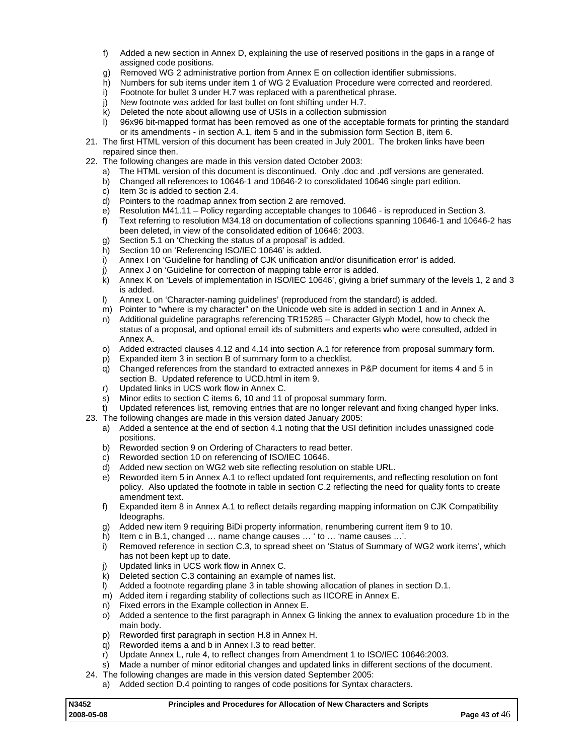- f) Added a new section in Annex D, explaining the use of reserved positions in the gaps in a range of assigned code positions.
- g) Removed WG 2 administrative portion from Annex E on collection identifier submissions.
- h) Numbers for sub items under item 1 of WG 2 Evaluation Procedure were corrected and reordered.
- i) Footnote for bullet 3 under H.7 was replaced with a parenthetical phrase.
- j) New footnote was added for last bullet on font shifting under H.7.
- k) Deleted the note about allowing use of USIs in a collection submission
- l) 96x96 bit-mapped format has been removed as one of the acceptable formats for printing the standard or its amendments - in section A.1, item 5 and in the submission form Section B, item 6.
- 21. The first HTML version of this document has been created in July 2001. The broken links have been repaired since then.
- 22. The following changes are made in this version dated October 2003:
	- a) The HTML version of this document is discontinued. Only .doc and .pdf versions are generated.
	- b) Changed all references to 10646-1 and 10646-2 to consolidated 10646 single part edition.
	- c) Item 3c is added to section 2.4.<br>d) Pointers to the roadmap annex
	- d) Pointers to the roadmap annex from section 2 are removed.<br>e) Resolution M41.11 Policy regarding acceptable changes to
	- Resolution M41.11 Policy regarding acceptable changes to 10646 is reproduced in Section 3.
	- f) Text referring to resolution M34.18 on documentation of collections spanning 10646-1 and 10646-2 has been deleted, in view of the consolidated edition of 10646: 2003.
	- g) Section 5.1 on 'Checking the status of a proposal' is added.
	- h) Section 10 on 'Referencing ISO/IEC 10646' is added.
	- i) Annex I on 'Guideline for handling of CJK unification and/or disunification error' is added.
	- j) Annex J on 'Guideline for correction of mapping table error is added.
	- $\hat{k}$ ) Annex K on 'Levels of implementation in ISO/IEC 10646', giving a brief summary of the levels 1, 2 and 3 is added.
	- l) Annex L on 'Character-naming guidelines' (reproduced from the standard) is added.
	- m) Pointer to "where is my character" on the Unicode web site is added in section 1 and in Annex A.
	- n) Additional guideline paragraphs referencing TR15285 Character Glyph Model, how to check the status of a proposal, and optional email ids of submitters and experts who were consulted, added in Annex A.
	- o) Added extracted clauses 4.12 and 4.14 into section A.1 for reference from proposal summary form.
	- p) Expanded item 3 in section B of summary form to a checklist.
	- q) Changed references from the standard to extracted annexes in P&P document for items 4 and 5 in section B. Updated reference to UCD.html in item 9.
	- r) Updated links in UCS work flow in Annex C.
	- s) Minor edits to section C items 6, 10 and 11 of proposal summary form.
- t) Updated references list, removing entries that are no longer relevant and fixing changed hyper links. 23. The following changes are made in this version dated January 2005:
	- a) Added a sentence at the end of section 4.1 noting that the USI definition includes unassigned code positions.
	- b) Reworded section 9 on Ordering of Characters to read better.
	- c) Reworded section 10 on referencing of ISO/IEC 10646.
	- d) Added new section on WG2 web site reflecting resolution on stable URL.<br>e) Reworded item 5 in Annex A.1 to reflect updated font requirements. and i
	- Reworded item 5 in Annex A.1 to reflect updated font requirements, and reflecting resolution on font policy. Also updated the footnote in table in section C.2 reflecting the need for quality fonts to create amendment text.
	- f) Expanded item 8 in Annex A.1 to reflect details regarding mapping information on CJK Compatibility Ideographs.
	- g) Added new item 9 requiring BiDi property information, renumbering current item 9 to 10.
	- h) Item c in B.1, changed … name change causes … ' to … 'name causes …'.
	- i) Removed reference in section C.3, to spread sheet on 'Status of Summary of WG2 work items', which has not been kept up to date.
	- j) Updated links in UCS work flow in Annex C.
	- k) Deleted section C.3 containing an example of names list.
	- l) Added a footnote regarding plane 3 in table showing allocation of planes in section D.1.
	- m) Added item í regarding stability of collections such as IICORE in Annex E.
	- n) Fixed errors in the Example collection in Annex E.
	- o) Added a sentence to the first paragraph in Annex G linking the annex to evaluation procedure 1b in the main body.
	- p) Reworded first paragraph in section H.8 in Annex H.
	- q) Reworded items a and b in Annex I.3 to read better.
	- r) Update Annex L, rule 4, to reflect changes from Amendment 1 to ISO/IEC 10646:2003.
	- s) Made a number of minor editorial changes and updated links in different sections of the document.
- 24. The following changes are made in this version dated September 2005:
	- a) Added section D.4 pointing to ranges of code positions for Syntax characters.

| N3452      | Principles and Procedures for Allocation of New Characters and Scripts |                 |
|------------|------------------------------------------------------------------------|-----------------|
| 2008-05-08 |                                                                        | Page 43 of $46$ |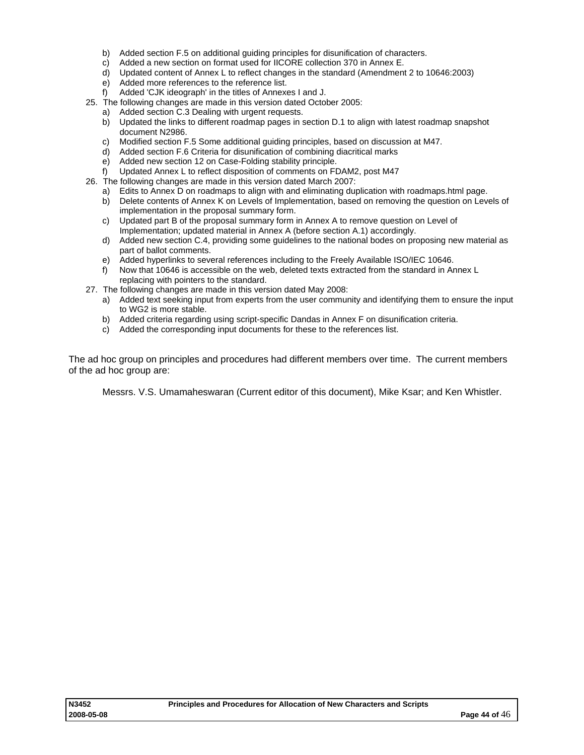- b) Added section F.5 on additional guiding principles for disunification of characters.
- c) Added a new section on format used for IICORE collection 370 in Annex E.
- d) Updated content of Annex L to reflect changes in the standard (Amendment 2 to 10646:2003)
- e) Added more references to the reference list.
- f) Added 'CJK ideograph' in the titles of Annexes I and J.
- 25. The following changes are made in this version dated October 2005:
	- a) Added section C.3 Dealing with urgent requests.
	- b) Updated the links to different roadmap pages in section D.1 to align with latest roadmap snapshot document N2986.
	- c) Modified section F.5 Some additional guiding principles, based on discussion at M47.
	- d) Added section F.6 Criteria for disunification of combining diacritical marks
	- e) Added new section 12 on Case-Folding stability principle.
	- f) Updated Annex L to reflect disposition of comments on FDAM2, post M47
- 26. The following changes are made in this version dated March 2007:
	-
	- a) Edits to Annex D on roadmaps to align with and eliminating duplication with roadmaps.html page.<br>b) Delete contents of Annex K on Levels of Implementation, based on removing the question on I eve b) Delete contents of Annex K on Levels of Implementation, based on removing the question on Levels of implementation in the proposal summary form.
	- c) Updated part B of the proposal summary form in Annex A to remove question on Level of Implementation; updated material in Annex A (before section A.1) accordingly.
	- d) Added new section C.4, providing some guidelines to the national bodes on proposing new material as part of ballot comments.
	- e) Added hyperlinks to several references including to the Freely Available ISO/IEC 10646.
	- f) Now that 10646 is accessible on the web, deleted texts extracted from the standard in Annex L replacing with pointers to the standard.
- 27. The following changes are made in this version dated May 2008:
	- a) Added text seeking input from experts from the user community and identifying them to ensure the input to WG2 is more stable.
	- b) Added criteria regarding using script-specific Dandas in Annex F on disunification criteria.
	- c) Added the corresponding input documents for these to the references list.

The ad hoc group on principles and procedures had different members over time. The current members of the ad hoc group are:

Messrs. V.S. Umamaheswaran (Current editor of this document), Mike Ksar; and Ken Whistler.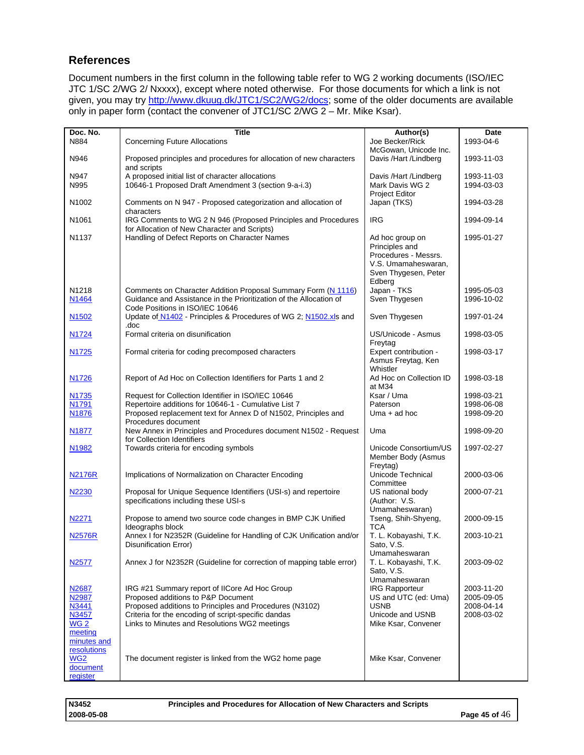## <span id="page-44-0"></span>**References**

Document numbers in the first column in the following table refer to WG 2 working documents (ISO/IEC JTC 1/SC 2/WG 2/ Nxxxx), except where noted otherwise. For those documents for which a link is not given, you may try <http://www.dkuug.dk/JTC1/SC2/WG2/docs>; some of the older documents are available only in paper form (contact the convener of JTC1/SC 2/WG 2 – Mr. Mike Ksar).

| Doc. No.          | <b>Title</b>                                                         | Author(s)               | Date       |
|-------------------|----------------------------------------------------------------------|-------------------------|------------|
| N884              | <b>Concerning Future Allocations</b>                                 | Joe Becker/Rick         | 1993-04-6  |
|                   |                                                                      | McGowan, Unicode Inc.   |            |
| N946              | Proposed principles and procedures for allocation of new characters  | Davis /Hart /Lindberg   | 1993-11-03 |
|                   | and scripts                                                          |                         |            |
| N947              | A proposed initial list of character allocations                     | Davis /Hart /Lindberg   | 1993-11-03 |
| N995              | 10646-1 Proposed Draft Amendment 3 (section 9-a-i.3)                 | Mark Davis WG 2         | 1994-03-03 |
|                   |                                                                      | <b>Project Editor</b>   |            |
| N1002             |                                                                      |                         |            |
|                   | Comments on N 947 - Proposed categorization and allocation of        | Japan (TKS)             | 1994-03-28 |
|                   | characters                                                           |                         |            |
| N1061             | IRG Comments to WG 2 N 946 (Proposed Principles and Procedures       | <b>IRG</b>              | 1994-09-14 |
|                   | for Allocation of New Character and Scripts)                         |                         |            |
| N1137             | Handling of Defect Reports on Character Names                        | Ad hoc group on         | 1995-01-27 |
|                   |                                                                      | Principles and          |            |
|                   |                                                                      | Procedures - Messrs.    |            |
|                   |                                                                      | V.S. Umamaheswaran,     |            |
|                   |                                                                      | Sven Thygesen, Peter    |            |
|                   |                                                                      | Edberg                  |            |
| N <sub>1218</sub> | Comments on Character Addition Proposal Summary Form (N 1116)        | Japan - TKS             | 1995-05-03 |
|                   | Guidance and Assistance in the Prioritization of the Allocation of   | Sven Thygesen           |            |
| N <sub>1464</sub> |                                                                      |                         | 1996-10-02 |
|                   | Code Positions in ISO/IEC 10646                                      |                         |            |
| N1502             | Update of N1402 - Principles & Procedures of WG 2; N1502.xls and     | Sven Thygesen           | 1997-01-24 |
|                   | .doc                                                                 |                         |            |
| N <sub>1724</sub> | Formal criteria on disunification                                    | US/Unicode - Asmus      | 1998-03-05 |
|                   |                                                                      | Freytag                 |            |
| N <sub>1725</sub> | Formal criteria for coding precomposed characters                    | Expert contribution -   | 1998-03-17 |
|                   |                                                                      | Asmus Freytag, Ken      |            |
|                   |                                                                      | Whistler                |            |
| N1726             |                                                                      | Ad Hoc on Collection ID | 1998-03-18 |
|                   | Report of Ad Hoc on Collection Identifiers for Parts 1 and 2         |                         |            |
|                   |                                                                      | at M34                  |            |
| N1735             | Request for Collection Identifier in ISO/IEC 10646                   | Ksar / Uma              | 1998-03-21 |
| N1791             | Repertoire additions for 10646-1 - Cumulative List 7                 | Paterson                | 1998-06-08 |
| N <sub>1876</sub> | Proposed replacement text for Annex D of N1502, Principles and       | $Uma + ad hoc$          | 1998-09-20 |
|                   | Procedures document                                                  |                         |            |
| N <sub>1877</sub> | New Annex in Principles and Procedures document N1502 - Request      | Uma                     | 1998-09-20 |
|                   | for Collection Identifiers                                           |                         |            |
| N1982             | Towards criteria for encoding symbols                                | Unicode Consortium/US   | 1997-02-27 |
|                   |                                                                      | Member Body (Asmus      |            |
|                   |                                                                      | Freytag)                |            |
| N2176R            | Implications of Normalization on Character Encoding                  | Unicode Technical       | 2000-03-06 |
|                   |                                                                      | Committee               |            |
|                   |                                                                      |                         |            |
| N2230             | Proposal for Unique Sequence Identifiers (USI-s) and repertoire      | US national body        | 2000-07-21 |
|                   | specifications including these USI-s                                 | (Author: V.S.           |            |
|                   |                                                                      | Umamaheswaran)          |            |
| N2271             | Propose to amend two source code changes in BMP CJK Unified          | Tseng, Shih-Shyeng,     | 2000-09-15 |
|                   | Ideographs block                                                     | <b>TCA</b>              |            |
| <b>N2576R</b>     | Annex I for N2352R (Guideline for Handling of CJK Unification and/or | T. L. Kobayashi, T.K.   | 2003-10-21 |
|                   | <b>Disunification Error)</b>                                         | Sato, V.S.              |            |
|                   |                                                                      | Umamaheswaran           |            |
| N <sub>2577</sub> | Annex J for N2352R (Guideline for correction of mapping table error) | T. L. Kobayashi, T.K.   | 2003-09-02 |
|                   |                                                                      | Sato, V.S.              |            |
|                   |                                                                      | Umamaheswaran           |            |
| N <sub>2687</sub> | IRG #21 Summary report of IICore Ad Hoc Group                        | <b>IRG Rapporteur</b>   | 2003-11-20 |
| N2987             | Proposed additions to P&P Document                                   | US and UTC (ed: Uma)    |            |
|                   |                                                                      |                         | 2005-09-05 |
| N3441             | Proposed additions to Principles and Procedures (N3102)              | <b>USNB</b>             | 2008-04-14 |
| N3457             | Criteria for the encoding of script-specific dandas                  | Unicode and USNB        | 2008-03-02 |
| WG <sub>2</sub>   | Links to Minutes and Resolutions WG2 meetings                        | Mike Ksar, Convener     |            |
| meeting           |                                                                      |                         |            |
| minutes and       |                                                                      |                         |            |
| resolutions       |                                                                      |                         |            |
| WG2               | The document register is linked from the WG2 home page               | Mike Ksar, Convener     |            |
| document          |                                                                      |                         |            |
| register          |                                                                      |                         |            |

**N3452 Principles and Procedures for Allocation of New Characters and Scripts**